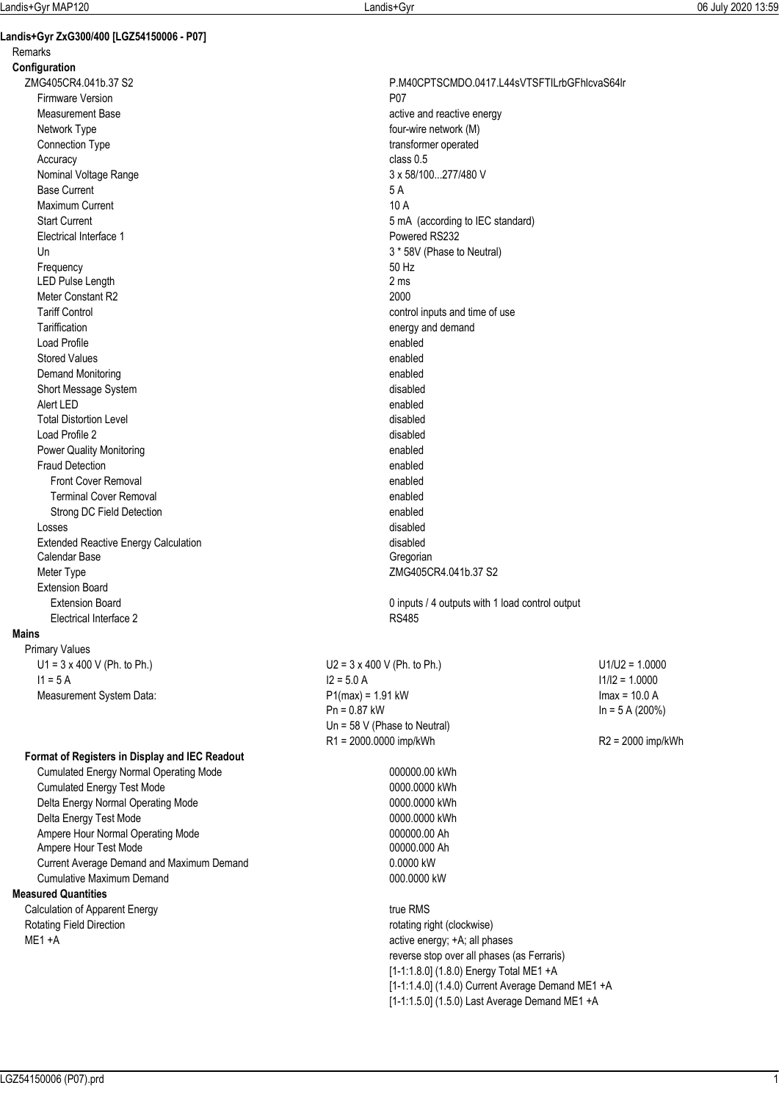### Landis+Gyr ZxG300/400 [LGZ54150006 - P07]

Remarks **Configuration** Firmware Version **P07** Measurement Base and reactive energy Network Type four-wire network (M) Connection Type transformer operated Accuracy class 0.5 Nominal Voltage Range 3x 58/100...277/480 V Base Current 5 A Maximum Current 10 A Start Current 5 mA (according to IEC standard) Electrical Interface 1 **Powered RS232** Un 3 \* 58V (Phase to Neutral) Frequency 50 Hz LED Pulse Length 2 ms Meter Constant R2 2000 Tariff Control control control control inputs and time of use Tariffication **Example 20** Tariffication **energy and demand** Load Profile enabled Stored Values enabled Demand Monitoring enabled Short Message System disabled Alert LED enabled Total Distortion Level **disabled** Load Profile 2 disabled Power Quality Monitoring enabled Fraud Detection enabled Front Cover Removal enabled Terminal Cover Removal enabled Strong DC Field Detection enabled Losses disabled Extended Reactive Energy Calculation disabled Calendar Base Gregorian Calendar Base Gregorian Calendar Base Gregorian Calendar Base Gregorian Calendar Base Meter Type ZMG405CR4.041b.37 S2 Extension Board Electrical Interface 2 RS485

### Mains

Primary Values U1 = 3 x 400 V (Ph. to Ph.) U2 = 3 x 400 V (Ph. to Ph.) U1/U2 = 1.0000

### Format of Registers in Display and IEC Readout

Cumulated Energy Normal Operating Mode 000000.00 kWh Cumulated Energy Test Mode 0000.0000 kWh Delta Energy Normal Operating Mode 0000.0000 kWh Delta Energy Test Mode 0000.0000 kWh Ampere Hour Normal Operating Mode 000000.00 Ah Ampere Hour Test Mode 00000.000 Ah Current Average Demand and Maximum Demand 0.0000 kW Cumulative Maximum Demand 000.0000 kW

# Measured Quantities

Calculation of Apparent Energy true RMS Rotating Field Direction **Rotating Field Direction rotating right (clockwise)** 

ZMG405CR4.041b.37 S2 P.M40CPTSCMDO.0417.L44sVTSFTILrbGFhlcvaS64lr Extension Board **Extension Board 1 inputs / 4 outputs with 1 load control output** 

 $11 = 5 \text{ A}$   $11/12 = 1.0000$ Measurement System Data: The Contract of the Contract of P1(max) = 1.91 kW Imax = 10.0 A  $Pn = 0.87$  kW  $In = 5$  A (200%) Un = 58 V (Phase to Neutral) R1 = 2000.0000 imp/kWh R2 = 2000 imp/kWh

ME1 +A active energy; +A; all phases reverse stop over all phases (as Ferraris) [1-1:1.8.0] (1.8.0) Energy Total ME1 +A [1-1:1.4.0] (1.4.0) Current Average Demand ME1 +A [1-1:1.5.0] (1.5.0) Last Average Demand ME1 +A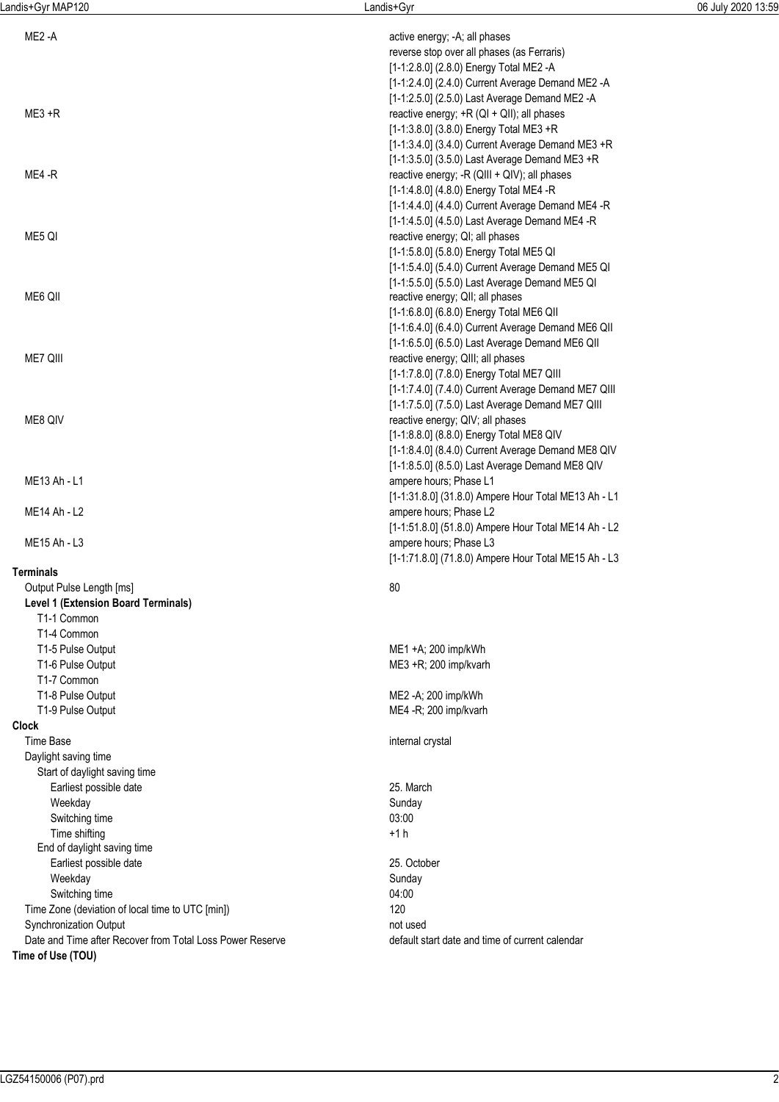| n 1 o c<br>Landıs+<br>$-1 - 1/r$<br>. MAP'<br>' i ∠u<br>ີ | $'$ and $\sim$<br>.<br>r.<br>้บ | $\sim$ $\sim$ $\sim$<br>2020<br>06 July<br>つ・ロ<br>,,<br>ט.טי |
|-----------------------------------------------------------|---------------------------------|--------------------------------------------------------------|
|                                                           |                                 |                                                              |

| ME <sub>2</sub> -A                                        | active energy; -A; all phases                        |
|-----------------------------------------------------------|------------------------------------------------------|
|                                                           | reverse stop over all phases (as Ferraris)           |
|                                                           | [1-1:2.8.0] (2.8.0) Energy Total ME2 -A              |
|                                                           | [1-1:2.4.0] (2.4.0) Current Average Demand ME2 -A    |
|                                                           | [1-1:2.5.0] (2.5.0) Last Average Demand ME2 -A       |
| $ME3 + R$                                                 | reactive energy; +R (QI + QII); all phases           |
|                                                           | [1-1:3.8.0] (3.8.0) Energy Total ME3 +R              |
|                                                           | [1-1:3.4.0] (3.4.0) Current Average Demand ME3 +R    |
|                                                           | [1-1:3.5.0] (3.5.0) Last Average Demand ME3 +R       |
| ME4-R                                                     | reactive energy; -R (QIII + QIV); all phases         |
|                                                           | [1-1:4.8.0] (4.8.0) Energy Total ME4 -R              |
|                                                           | [1-1:4.4.0] (4.4.0) Current Average Demand ME4 -R    |
|                                                           | [1-1:4.5.0] (4.5.0) Last Average Demand ME4 -R       |
| ME5 QI                                                    | reactive energy; QI; all phases                      |
|                                                           | [1-1:5.8.0] (5.8.0) Energy Total ME5 QI              |
|                                                           | [1-1:5.4.0] (5.4.0) Current Average Demand ME5 QI    |
|                                                           |                                                      |
|                                                           | [1-1:5.5.0] (5.5.0) Last Average Demand ME5 QI       |
| ME6 QII                                                   | reactive energy; QII; all phases                     |
|                                                           | [1-1:6.8.0] (6.8.0) Energy Total ME6 QII             |
|                                                           | [1-1:6.4.0] (6.4.0) Current Average Demand ME6 QII   |
|                                                           | [1-1:6.5.0] (6.5.0) Last Average Demand ME6 QII      |
| ME7 QIII                                                  | reactive energy; QIII; all phases                    |
|                                                           | [1-1:7.8.0] (7.8.0) Energy Total ME7 QIII            |
|                                                           | [1-1:7.4.0] (7.4.0) Current Average Demand ME7 QIII  |
|                                                           | [1-1:7.5.0] (7.5.0) Last Average Demand ME7 QIII     |
| ME8 QIV                                                   | reactive energy; QIV; all phases                     |
|                                                           | [1-1:8.8.0] (8.8.0) Energy Total ME8 QIV             |
|                                                           | [1-1:8.4.0] (8.4.0) Current Average Demand ME8 QIV   |
|                                                           | [1-1:8.5.0] (8.5.0) Last Average Demand ME8 QIV      |
| ME13 Ah - L1                                              | ampere hours; Phase L1                               |
|                                                           | [1-1:31.8.0] (31.8.0) Ampere Hour Total ME13 Ah - L1 |
| ME14 Ah - L2                                              | ampere hours; Phase L2                               |
|                                                           | [1-1:51.8.0] (51.8.0) Ampere Hour Total ME14 Ah - L2 |
| ME15 Ah - L3                                              | ampere hours; Phase L3                               |
|                                                           |                                                      |
| <b>Terminals</b>                                          | [1-1:71.8.0] (71.8.0) Ampere Hour Total ME15 Ah - L3 |
|                                                           | 80                                                   |
| Output Pulse Length [ms]                                  |                                                      |
| <b>Level 1 (Extension Board Terminals)</b>                |                                                      |
| T1-1 Common                                               |                                                      |
| T1-4 Common                                               |                                                      |
| T1-5 Pulse Output                                         | ME1 +A; 200 imp/kWh                                  |
| T1-6 Pulse Output                                         | ME3 +R; 200 imp/kvarh                                |
| T1-7 Common                                               |                                                      |
| T1-8 Pulse Output                                         | ME2 - A; 200 imp/kWh                                 |
| T1-9 Pulse Output                                         | ME4 -R; 200 imp/kvarh                                |
| <b>Clock</b>                                              |                                                      |
| <b>Time Base</b>                                          | internal crystal                                     |
| Daylight saving time                                      |                                                      |
| Start of daylight saving time                             |                                                      |
| Earliest possible date                                    | 25. March                                            |
| Weekday                                                   | Sunday                                               |
| Switching time                                            | 03:00                                                |
| Time shifting                                             | $+1 h$                                               |
| End of daylight saving time                               |                                                      |
| Earliest possible date                                    | 25. October                                          |
| Weekday                                                   | Sunday                                               |
|                                                           | 04:00                                                |
| Switching time                                            |                                                      |
| Time Zone (deviation of local time to UTC [min])          | 120                                                  |
| Synchronization Output                                    | not used                                             |
| Date and Time after Recover from Total Loss Power Reserve | default start date and time of current calendar      |
| Time of Use (TOU)                                         |                                                      |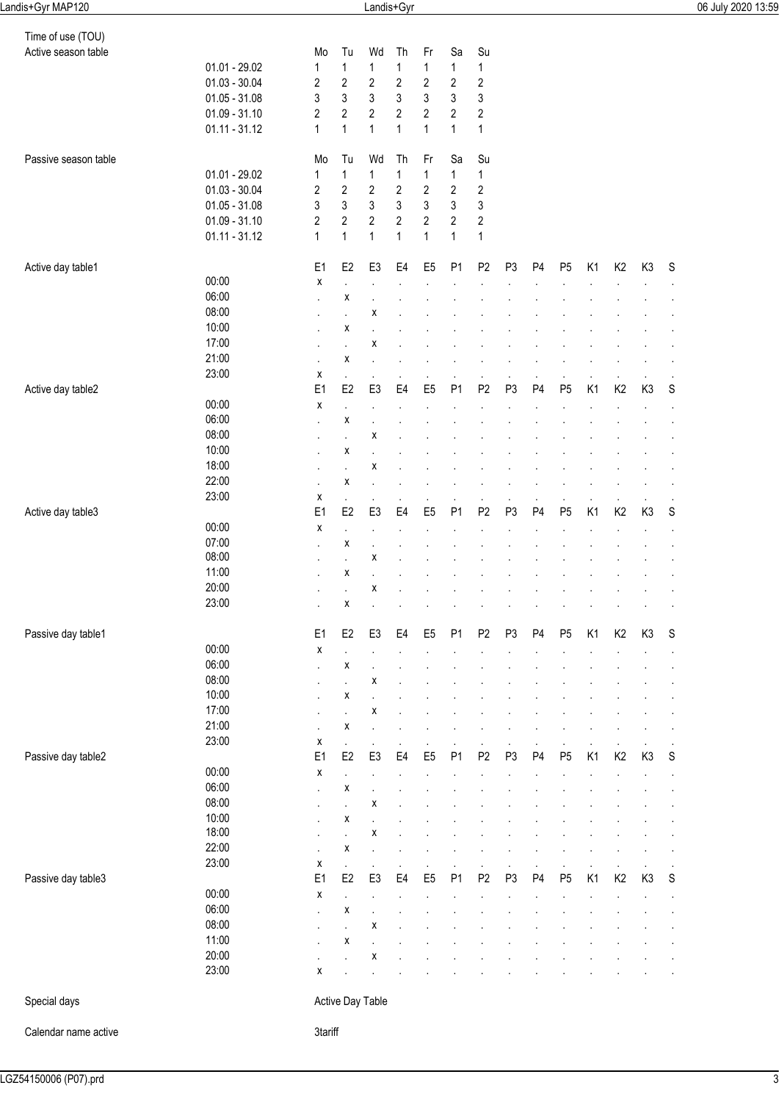| Landis+Gyr MAP120                        |                 |                         |                                  | Landis+Gyr              |                  |                         |                           |                  |                |                |                           |                |                |                |               | 06 July 2020 13:59 |
|------------------------------------------|-----------------|-------------------------|----------------------------------|-------------------------|------------------|-------------------------|---------------------------|------------------|----------------|----------------|---------------------------|----------------|----------------|----------------|---------------|--------------------|
|                                          |                 |                         |                                  |                         |                  |                         |                           |                  |                |                |                           |                |                |                |               |                    |
| Time of use (TOU)<br>Active season table |                 |                         | Tu                               |                         |                  |                         |                           |                  |                |                |                           |                |                |                |               |                    |
|                                          |                 | Mo                      |                                  | Wd                      | Th               | Fr                      | Sa                        | Su               |                |                |                           |                |                |                |               |                    |
|                                          | $01.01 - 29.02$ | 1                       | $\mathbf 1$                      | $\mathbf 1$             | 1                | $\mathbf{1}$            | 1                         | $\mathbf{1}$     |                |                |                           |                |                |                |               |                    |
|                                          | $01.03 - 30.04$ | $\boldsymbol{2}$        | $\sqrt{2}$                       | $\sqrt{2}$              | $\sqrt{2}$       | $\boldsymbol{2}$        | $\overline{\mathbf{c}}$   | $\sqrt{2}$       |                |                |                           |                |                |                |               |                    |
|                                          | $01.05 - 31.08$ | 3                       | $\sqrt{3}$                       | $\sqrt{3}$              | 3                | $\sqrt{3}$              | 3                         | $\sqrt{3}$       |                |                |                           |                |                |                |               |                    |
|                                          | $01.09 - 31.10$ | $\boldsymbol{2}$        | $\sqrt{2}$                       | $\overline{c}$          | $\sqrt{2}$       | $\overline{c}$          | $\overline{\mathbf{c}}$   | $\sqrt{2}$       |                |                |                           |                |                |                |               |                    |
|                                          | $01.11 - 31.12$ | $\mathbf{1}$            | $\mathbf{1}$                     | $\mathbf{1}$            | $\mathbf{1}$     | $\mathbf{1}$            | 1                         | $\mathbf 1$      |                |                |                           |                |                |                |               |                    |
| Passive season table                     |                 | Mo                      | Tu                               | Wd                      | Th               | Fr                      | Sa                        | Su               |                |                |                           |                |                |                |               |                    |
|                                          | $01.01 - 29.02$ | 1                       | $\mathbf{1}$                     | $\mathbf{1}$            | $\mathbf{1}$     | $\mathbf{1}$            | 1                         | $\mathbf{1}$     |                |                |                           |                |                |                |               |                    |
|                                          | $01.03 - 30.04$ | $\overline{\mathbf{c}}$ | $\sqrt{2}$                       | $\overline{\mathbf{c}}$ | $\sqrt{2}$       | $\boldsymbol{2}$        | $\overline{\mathbf{c}}$   | $\boldsymbol{2}$ |                |                |                           |                |                |                |               |                    |
|                                          | $01.05 - 31.08$ | 3                       | $\mathfrak{z}$                   | $\mathfrak{z}$          | $\sqrt{3}$       | $\mathfrak{S}$          | $\mathfrak{S}$            | $\mathfrak{S}$   |                |                |                           |                |                |                |               |                    |
|                                          | $01.09 - 31.10$ | $\boldsymbol{2}$        | $\overline{c}$                   | $\overline{\mathbf{c}}$ | $\boldsymbol{2}$ | $\overline{\mathbf{c}}$ | $\overline{\mathbf{c}}$   | $\overline{c}$   |                |                |                           |                |                |                |               |                    |
|                                          | $01.11 - 31.12$ | $\mathbf{1}$            | $\mathbf{1}$                     | $\overline{1}$          | $\mathbf{1}$     | $\mathbf{1}$            | $\mathbf{1}$              | $\mathbf{1}$     |                |                |                           |                |                |                |               |                    |
| Active day table1                        |                 | E <sub>1</sub>          | E <sub>2</sub>                   | E <sub>3</sub>          | E4               | E <sub>5</sub>          | P <sub>1</sub>            | P <sub>2</sub>   | P <sub>3</sub> | P <sub>4</sub> | P <sub>5</sub>            | K <sub>1</sub> | K <sub>2</sub> | K <sub>3</sub> | S             |                    |
|                                          | 00:00           | X                       |                                  |                         |                  |                         |                           |                  |                |                |                           |                |                |                |               |                    |
|                                          | 06:00           | $\cdot$                 | χ                                |                         |                  |                         |                           |                  |                |                |                           |                |                |                |               |                    |
|                                          | 08:00           | $\cdot$                 |                                  | χ                       |                  |                         |                           |                  |                |                |                           |                |                |                |               |                    |
|                                          | 10:00           |                         | χ                                |                         |                  |                         |                           |                  |                |                |                           |                |                |                |               |                    |
|                                          | 17:00           | ×                       | $\overline{a}$                   | χ                       |                  |                         |                           |                  |                |                |                           |                |                |                |               |                    |
|                                          | 21:00           | $\cdot$                 | х                                |                         |                  |                         |                           |                  |                |                |                           |                |                |                |               |                    |
|                                          | 23:00           | $\cdot$                 |                                  |                         |                  |                         |                           |                  |                |                |                           |                |                |                |               |                    |
| Active day table2                        |                 | Χ<br>E <sub>1</sub>     | $\overline{a}$<br>E <sub>2</sub> | E <sub>3</sub>          | E4               | E <sub>5</sub>          | $\cdot$<br>P <sub>1</sub> | P <sub>2</sub>   | P <sub>3</sub> | P <sub>4</sub> | $\cdot$<br>P <sub>5</sub> | K <sub>1</sub> | K <sub>2</sub> | K <sub>3</sub> | $\cdot$<br>S  |                    |
|                                          | 00:00           |                         |                                  |                         |                  |                         |                           |                  |                |                |                           |                |                |                |               |                    |
|                                          | 06:00           | χ                       | $\ddot{\phantom{a}}$<br>х        |                         |                  |                         |                           |                  |                |                |                           |                |                |                |               |                    |
|                                          | 08:00           | $\cdot$                 |                                  | χ                       | $\cdot$          |                         |                           |                  |                |                |                           |                |                |                |               |                    |
|                                          | 10:00           | $\cdot$                 | l,                               |                         |                  |                         |                           |                  |                |                |                           |                |                |                |               |                    |
|                                          | 18:00           | $\cdot$                 | х                                |                         |                  |                         |                           |                  |                |                |                           |                |                |                |               |                    |
|                                          |                 | $\cdot$                 | $\ddot{\phantom{0}}$             | χ                       |                  |                         |                           |                  |                |                |                           |                |                |                |               |                    |
|                                          | 22:00           | ×                       | χ                                |                         |                  |                         |                           |                  |                |                |                           |                |                |                |               |                    |
|                                          | 23:00           | Χ                       | $\ddot{\phantom{0}}$             |                         | $\cdot$          |                         |                           |                  |                |                |                           |                |                |                |               |                    |
| Active day table3                        |                 | E <sub>1</sub>          | E <sub>2</sub>                   | E <sub>3</sub>          | E4               | E <sub>5</sub>          | P1                        | P <sub>2</sub>   | P <sub>3</sub> | P <sub>4</sub> | P <sub>5</sub>            | K1             | K <sub>2</sub> | K <sub>3</sub> | S             |                    |
|                                          | 00:00           | χ                       | $\ddot{\phantom{a}}$             |                         |                  |                         |                           |                  |                |                |                           |                |                |                |               |                    |
|                                          | 07:00           |                         | X                                |                         |                  |                         |                           |                  |                |                |                           |                |                |                |               |                    |
|                                          | 08:00           |                         |                                  | χ                       |                  |                         |                           |                  |                |                |                           |                |                |                |               |                    |
|                                          | 11:00           |                         | χ                                |                         |                  |                         |                           |                  |                |                |                           |                |                |                |               |                    |
|                                          | 20:00           | $\cdot$                 |                                  | X                       |                  |                         |                           |                  |                |                |                           |                |                |                |               |                    |
|                                          | 23:00           | $\cdot$                 | χ                                |                         |                  |                         |                           |                  |                |                |                           |                |                |                |               |                    |
| Passive day table1                       |                 | E <sub>1</sub>          | E <sub>2</sub>                   | E <sub>3</sub>          | E4               | E <sub>5</sub>          | P <sub>1</sub>            | P2               | P <sub>3</sub> | P <sub>4</sub> | P <sub>5</sub>            | K <sub>1</sub> | K <sub>2</sub> | K <sub>3</sub> | ${\mathbb S}$ |                    |
|                                          | 00:00           | χ                       |                                  |                         |                  |                         |                           |                  |                |                |                           |                |                |                |               |                    |
|                                          | 06:00           | $\cdot$                 | χ                                |                         |                  |                         |                           |                  |                |                |                           |                |                |                |               |                    |
|                                          | 08:00           | $\cdot$                 |                                  | X                       |                  |                         |                           |                  |                |                |                           |                |                |                |               |                    |
|                                          | 10:00           | $\cdot$                 | X                                |                         |                  |                         |                           |                  |                |                |                           |                |                |                |               |                    |
|                                          | 17:00           | $\cdot$                 | $\ddot{\phantom{a}}$             | χ                       |                  |                         |                           |                  |                |                |                           |                |                |                |               |                    |
|                                          | 21:00           | $\cdot$                 | х                                |                         |                  |                         |                           |                  |                |                |                           |                |                |                |               |                    |
|                                          | 23:00           | X                       | $\blacksquare$                   |                         |                  |                         |                           |                  |                |                |                           |                |                |                |               |                    |
| Passive day table2                       |                 | E <sub>1</sub>          | E <sub>2</sub>                   | E <sub>3</sub>          | E4               | E <sub>5</sub>          | P <sub>1</sub>            | P <sub>2</sub>   | P <sub>3</sub> | P <sub>4</sub> | P <sub>5</sub>            | K <sub>1</sub> | K <sub>2</sub> | K <sub>3</sub> | S             |                    |
|                                          | 00:00           | $\pmb{\mathsf{X}}$      | $\ddot{\phantom{a}}$             |                         |                  |                         |                           |                  |                |                |                           |                |                |                |               |                    |
|                                          | 06:00           |                         | χ                                |                         |                  |                         |                           |                  |                |                |                           |                |                |                |               |                    |
|                                          | 08:00           | $\cdot$                 | $\ddot{\phantom{a}}$             | x                       |                  |                         |                           |                  |                |                |                           |                |                |                |               |                    |
|                                          | 10:00           | $\cdot$                 | χ                                |                         |                  |                         |                           |                  |                |                |                           |                |                |                |               |                    |
|                                          | 18:00           | $\cdot$                 | $\cdot$                          | χ                       |                  |                         |                           |                  |                |                |                           |                |                |                |               |                    |
|                                          | 22:00           | ×                       | X                                |                         |                  |                         |                           |                  |                |                |                           |                |                |                |               |                    |
|                                          | 23:00           | Χ                       | $\cdot$                          |                         |                  |                         |                           |                  |                |                |                           |                |                |                |               |                    |
| Passive day table3                       |                 | E <sub>1</sub>          | E <sub>2</sub>                   | E <sub>3</sub>          | E4               | E <sub>5</sub>          | P <sub>1</sub>            | P <sub>2</sub>   | P <sub>3</sub> | P4             | P <sub>5</sub>            | K <sub>1</sub> | K <sub>2</sub> | K <sub>3</sub> | S             |                    |
|                                          | 00:00           | χ                       | $\overline{a}$                   |                         |                  |                         |                           |                  |                |                |                           |                |                |                |               |                    |
|                                          | 06:00           | $\cdot$                 | X                                |                         |                  |                         |                           |                  |                |                |                           |                |                |                |               |                    |
|                                          | 08:00           | $\cdot$                 |                                  | Χ                       |                  |                         |                           |                  |                |                |                           |                |                |                |               |                    |
|                                          | 11:00           | $\cdot$                 | X                                |                         |                  |                         |                           |                  |                |                |                           |                |                |                |               |                    |
|                                          | 20:00           |                         |                                  | Χ                       |                  |                         |                           |                  |                |                |                           |                |                |                |               |                    |
|                                          | 23:00           | χ                       |                                  |                         |                  |                         |                           |                  |                |                |                           |                |                |                |               |                    |
|                                          |                 |                         |                                  |                         |                  |                         |                           |                  |                |                |                           |                |                |                |               |                    |

Special days **Active Day Table** 3. Active Day Table

Calendar name active 3tariff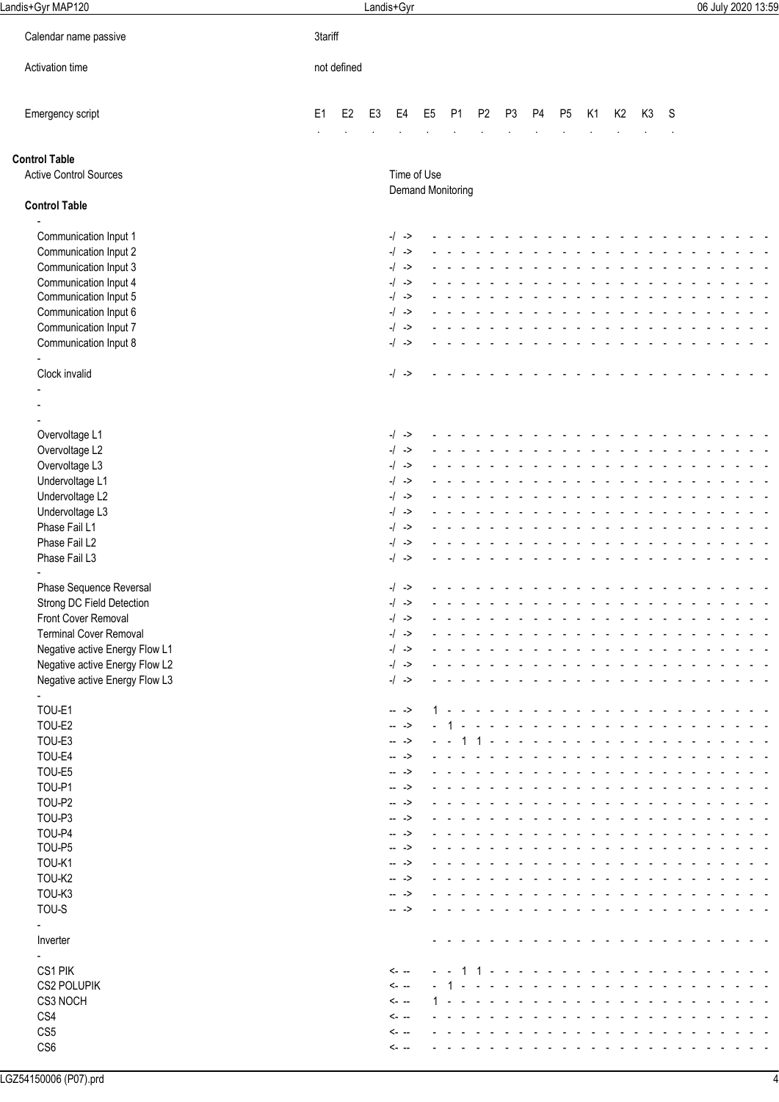Calendar name passive 3tariff Activation time not defined Emergency script **End and E1 E2 E3 E4 E5 P1 P2 P3 P4 P5 K1 K2 K3 S**  . . . . . . . . . . . . . . Control Table Active Control Sources Time of Use Demand Monitoring Control Table - Communication Input 1 -/ -> - - - - - - - - - - - - - - - - - - - - - - - - Communication Input 2 -/ -> Communication Input 3 Communication Input 4 Communication Input 5  $\blacksquare$  Communication Input 6  $\blacksquare$ Communication Input 7 -/ -> - - - - - - - - - - - - - - - - - - - - - - - - Communication Input 8 -/ -> - Clock invalid -/ -> - - - - - - - - - - - - - - - - - - - - - - - - - - - Overvoltage L1 -/ -> - - - - - - - - - - - - - - - - - - - - - - - - Overvoltage L2 -/ -> - - - - - - - - - - - - - - - - - - - - - - - - Overvoltage L3 -/ -> - - - - - - - - - - - - - - - - - - - - - - - - Undervoltage L1 -/ -> - - - - - - - - - - - - - - - - - - - - - - - - Undervoltage L2 -/ -> - - - - - - - - - - - - - - - - - - - - - - - - Undervoltage L3 -/ -> - - - - - - - - - - - - - - - - - - - - - - - - Phase Fail L1 -/ -> - - - - - - - - - - - - - - - - - - - - - - - - Phase Fail L2 -/ -> - - - - - - - - - - - - - - - - - - - - - - - - Phase Fail L3 -/ -> - - - - - - - - - - - - - - - - - - - - - - - - - Phase Sequence Reversal and the set of the set of  $-/-$ Strong DC Field Detection -/ -> - - - - - - - - - - - - - - - - - - - - - - - - Front Cover Removal -/ -> - - - - - - - - - - - - - - - - - - - - - - - - Terminal Cover Removal and the state of the state of  $-1$  -  $-1$ Negative active Energy Flow L1 and the state of the state of  $-/-$ Negative active Energy Flow L2  $-/- > - - - - - - - - - - - - - - - - - - - - - - - - - -$ Negative active Energy Flow L3 -/ -> - TOU-E1 -- -> 1 - - - - - - - - - - - - - - - - - - - - - - - TOU-E2 -- -> - 1 - - - - - - - - - - - - - - - - - - - - - - TOU-E3 -- -> - - 1 1 - - - - - - - - - - - - - - - - - - - - TOU-E4 -- -> - - - - - - - - - - - - - - - - - - - - - - - - TOU-E5 -- -> - - - - - - - - - - - - - - - - - - - - - - - - TOU-P1 -- -> - - - - - - - - - - - - - - - - - - - - - - - - TOU-P2 -- -> - - - - - - - - - - - - - - - - - - - - - - - - TOU-P3 -- -> - - - - - - - - - - - - - - - - - - - - - - - - TOU-P4 -- -> - - - - - - - - - - - - - - - - - - - - - - - - TOU-P5 -- -> - - - - - - - - - - - - - - - - - - - - - - - - TOU-K1 -- -> - - - - - - - - - - - - - - - - - - - - - - - - TOU-K2 -- -> - - - - - - - - - - - - - - - - - - - - - - - - TOU-K3 -- -> - - - - - - - - - - - - - - - - - - - - - - - - TOU-S -- -> - - - - - - - - - - - - - - - - - - - - - - - - - Inverter - - - - - - - - - - - - - - - - - - - - - - - - - CS1 PIK <- -- - - 1 1 - - - - - - - - - - - - - - - - - - - - CS2 POLUPIK <- -- - 1 - - - - - - - - - - - - - - - - - - - - - - CS3 NOCH <- -- 1 - - - - - - - - - - - - - - - - - - - - - - - CS4 <- -- - - - - - - - - - - - - - - - - - - - - - - - - CS5 <- -- - - - - - - - - - - - - - - - - - - - - - - - -

CS6 <- -- - - - - - - - - - - - - - - - - - - - - - - - -

Landis+Gyr MAP120 Landis+Gyr 06 July 2020 13:59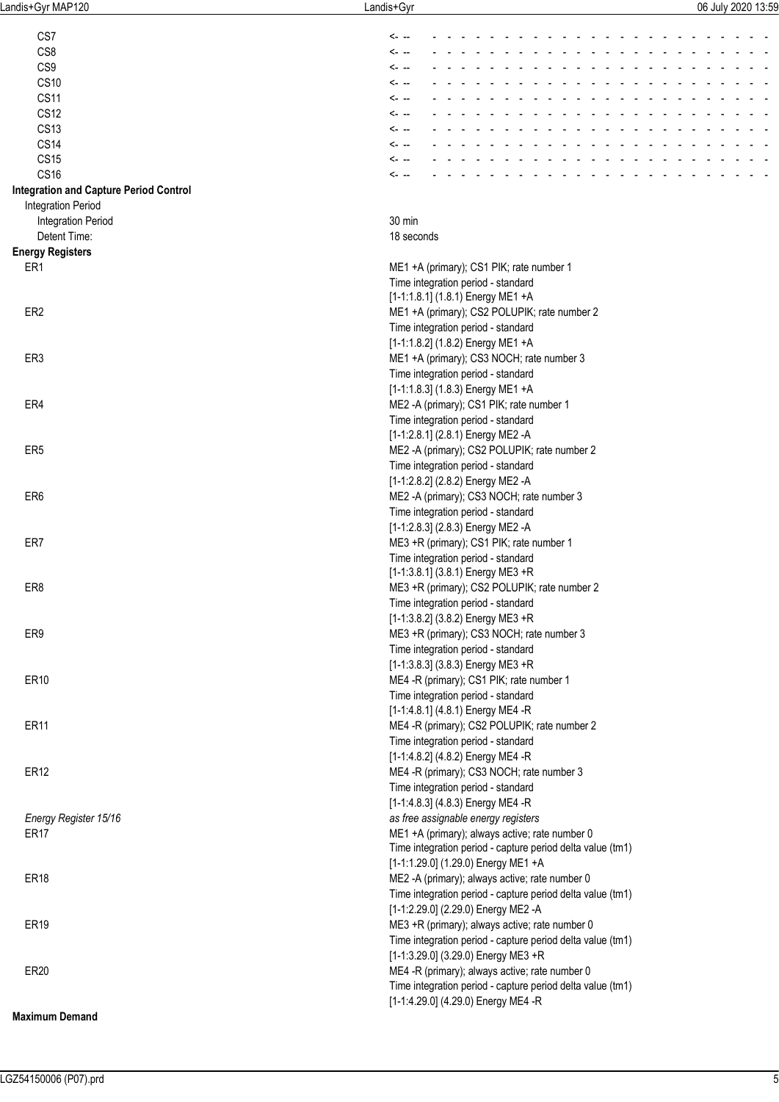| CS7                                           | $\leftarrow$ $-$<br>in the second terms of the second terms of the second terms of the second terms of the second terms of the second terms.                                                                                                                                                                                                                             |
|-----------------------------------------------|--------------------------------------------------------------------------------------------------------------------------------------------------------------------------------------------------------------------------------------------------------------------------------------------------------------------------------------------------------------------------|
| CS8                                           | and the state of the state of the state of the state of the state of the state of the state of the state of the<br>$\leftarrow$ $\sim$<br>the state of the state of the state of the state of the state of the state of the state of the state of the state of the state of the state of the state of the state of the state of the state of the state of the state of t |
| CS9                                           | distribution di constitution de la constitution de la constitution de la constitution de la constitution de la<br>$\leftarrow$ $\sim$                                                                                                                                                                                                                                    |
| <b>CS10</b>                                   | $\leftarrow$ $\sim$                                                                                                                                                                                                                                                                                                                                                      |
| <b>CS11</b>                                   | de la caractería de la caractería de la caractería<br>$\leftarrow$ $-$                                                                                                                                                                                                                                                                                                   |
| <b>CS12</b>                                   | $\leftarrow$ $\sim$                                                                                                                                                                                                                                                                                                                                                      |
| <b>CS13</b>                                   | $\leftarrow$ $\sim$                                                                                                                                                                                                                                                                                                                                                      |
| <b>CS14</b>                                   | $\leftarrow$ $\sim$                                                                                                                                                                                                                                                                                                                                                      |
| <b>CS15</b>                                   | <u>. In the second contract of the second contract of the second contract of the second contract of the second contract of the second contract of the second contract of the second contract of the second contract of the secon</u><br>$\leftarrow$ $\sim$                                                                                                              |
| <b>CS16</b>                                   | .<br>$\leftarrow$ $\sim$                                                                                                                                                                                                                                                                                                                                                 |
| <b>Integration and Capture Period Control</b> |                                                                                                                                                                                                                                                                                                                                                                          |
| <b>Integration Period</b>                     |                                                                                                                                                                                                                                                                                                                                                                          |
|                                               | 30 min                                                                                                                                                                                                                                                                                                                                                                   |
| Integration Period                            |                                                                                                                                                                                                                                                                                                                                                                          |
| Detent Time:                                  | 18 seconds                                                                                                                                                                                                                                                                                                                                                               |
| <b>Energy Registers</b>                       |                                                                                                                                                                                                                                                                                                                                                                          |
| ER <sub>1</sub>                               | ME1 +A (primary); CS1 PIK; rate number 1                                                                                                                                                                                                                                                                                                                                 |
|                                               | Time integration period - standard                                                                                                                                                                                                                                                                                                                                       |
|                                               | [1-1:1.8.1] (1.8.1) Energy ME1 +A                                                                                                                                                                                                                                                                                                                                        |
| ER <sub>2</sub>                               | ME1 +A (primary); CS2 POLUPIK; rate number 2                                                                                                                                                                                                                                                                                                                             |
|                                               | Time integration period - standard                                                                                                                                                                                                                                                                                                                                       |
|                                               | [1-1:1.8.2] (1.8.2) Energy ME1 +A                                                                                                                                                                                                                                                                                                                                        |
| ER <sub>3</sub>                               | ME1 +A (primary); CS3 NOCH; rate number 3                                                                                                                                                                                                                                                                                                                                |
|                                               | Time integration period - standard                                                                                                                                                                                                                                                                                                                                       |
|                                               | [1-1:1.8.3] (1.8.3) Energy ME1 +A                                                                                                                                                                                                                                                                                                                                        |
| ER4                                           | ME2 - A (primary); CS1 PIK; rate number 1                                                                                                                                                                                                                                                                                                                                |
|                                               | Time integration period - standard                                                                                                                                                                                                                                                                                                                                       |
|                                               | [1-1:2.8.1] (2.8.1) Energy ME2 -A                                                                                                                                                                                                                                                                                                                                        |
| ER <sub>5</sub>                               | ME2 -A (primary); CS2 POLUPIK; rate number 2                                                                                                                                                                                                                                                                                                                             |
|                                               | Time integration period - standard                                                                                                                                                                                                                                                                                                                                       |
|                                               | [1-1:2.8.2] (2.8.2) Energy ME2 -A                                                                                                                                                                                                                                                                                                                                        |
| ER <sub>6</sub>                               | ME2 -A (primary); CS3 NOCH; rate number 3                                                                                                                                                                                                                                                                                                                                |
|                                               | Time integration period - standard                                                                                                                                                                                                                                                                                                                                       |
|                                               | [1-1:2.8.3] (2.8.3) Energy ME2 -A                                                                                                                                                                                                                                                                                                                                        |
| ER7                                           | ME3 +R (primary); CS1 PIK; rate number 1                                                                                                                                                                                                                                                                                                                                 |
|                                               | Time integration period - standard                                                                                                                                                                                                                                                                                                                                       |
|                                               | [1-1:3.8.1] (3.8.1) Energy ME3 +R                                                                                                                                                                                                                                                                                                                                        |
| ER8                                           | ME3 +R (primary); CS2 POLUPIK; rate number 2                                                                                                                                                                                                                                                                                                                             |
|                                               | Time integration period - standard                                                                                                                                                                                                                                                                                                                                       |
|                                               | [1-1:3.8.2] (3.8.2) Energy ME3 +R                                                                                                                                                                                                                                                                                                                                        |
| ER <sub>9</sub>                               | ME3 +R (primary); CS3 NOCH; rate number 3                                                                                                                                                                                                                                                                                                                                |
|                                               | Time integration period - standard                                                                                                                                                                                                                                                                                                                                       |
|                                               | [1-1:3.8.3] (3.8.3) Energy ME3 +R                                                                                                                                                                                                                                                                                                                                        |
| ER10                                          | ME4 -R (primary); CS1 PIK; rate number 1                                                                                                                                                                                                                                                                                                                                 |
|                                               | Time integration period - standard                                                                                                                                                                                                                                                                                                                                       |
|                                               | [1-1:4.8.1] (4.8.1) Energy ME4 -R                                                                                                                                                                                                                                                                                                                                        |
| <b>ER11</b>                                   | ME4 -R (primary); CS2 POLUPIK; rate number 2                                                                                                                                                                                                                                                                                                                             |
|                                               | Time integration period - standard                                                                                                                                                                                                                                                                                                                                       |
|                                               | [1-1:4.8.2] (4.8.2) Energy ME4 -R                                                                                                                                                                                                                                                                                                                                        |
| ER <sub>12</sub>                              | ME4 -R (primary); CS3 NOCH; rate number 3                                                                                                                                                                                                                                                                                                                                |
|                                               | Time integration period - standard                                                                                                                                                                                                                                                                                                                                       |
|                                               | [1-1:4.8.3] (4.8.3) Energy ME4 -R                                                                                                                                                                                                                                                                                                                                        |
| Energy Register 15/16                         | as free assignable energy registers                                                                                                                                                                                                                                                                                                                                      |
| <b>ER17</b>                                   | ME1 +A (primary); always active; rate number 0                                                                                                                                                                                                                                                                                                                           |
|                                               | Time integration period - capture period delta value (tm1)                                                                                                                                                                                                                                                                                                               |
|                                               | [1-1:1.29.0] (1.29.0) Energy ME1 +A                                                                                                                                                                                                                                                                                                                                      |
| ER <sub>18</sub>                              | ME2 -A (primary); always active; rate number 0                                                                                                                                                                                                                                                                                                                           |
|                                               | Time integration period - capture period delta value (tm1)                                                                                                                                                                                                                                                                                                               |
|                                               | [1-1:2.29.0] (2.29.0) Energy ME2 -A                                                                                                                                                                                                                                                                                                                                      |
|                                               |                                                                                                                                                                                                                                                                                                                                                                          |
| <b>ER19</b>                                   | ME3 +R (primary); always active; rate number 0                                                                                                                                                                                                                                                                                                                           |
|                                               | Time integration period - capture period delta value (tm1)                                                                                                                                                                                                                                                                                                               |
|                                               | [1-1:3.29.0] (3.29.0) Energy ME3 +R                                                                                                                                                                                                                                                                                                                                      |
| <b>ER20</b>                                   | ME4 -R (primary); always active; rate number 0                                                                                                                                                                                                                                                                                                                           |
|                                               | Time integration period - capture period delta value (tm1)                                                                                                                                                                                                                                                                                                               |
|                                               | [1-1:4.29.0] (4.29.0) Energy ME4 -R                                                                                                                                                                                                                                                                                                                                      |
| <b>Maximum Demand</b>                         |                                                                                                                                                                                                                                                                                                                                                                          |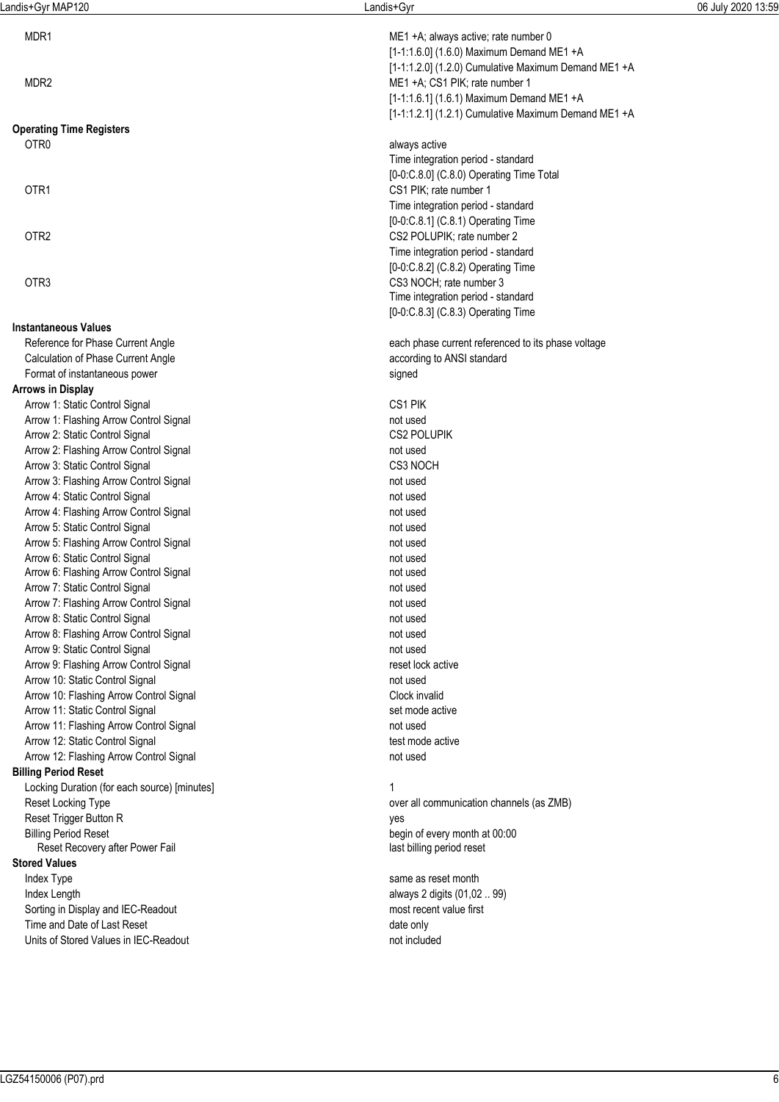| Landis+Gyr MAP120                            | Landis+Gyr                                           | 06 July 2020 13:59 |
|----------------------------------------------|------------------------------------------------------|--------------------|
| MDR1                                         | ME1 +A; always active; rate number 0                 |                    |
|                                              | [1-1:1.6.0] (1.6.0) Maximum Demand ME1 +A            |                    |
|                                              | [1-1:1.2.0] (1.2.0) Cumulative Maximum Demand ME1 +A |                    |
| MDR <sub>2</sub>                             | ME1 +A; CS1 PIK; rate number 1                       |                    |
|                                              | [1-1:1.6.1] (1.6.1) Maximum Demand ME1 +A            |                    |
|                                              | [1-1:1.2.1] (1.2.1) Cumulative Maximum Demand ME1 +A |                    |
| <b>Operating Time Registers</b>              |                                                      |                    |
| OTR <sub>0</sub>                             | always active                                        |                    |
|                                              | Time integration period - standard                   |                    |
|                                              | [0-0:C.8.0] (C.8.0) Operating Time Total             |                    |
| OTR1                                         | CS1 PIK; rate number 1                               |                    |
|                                              | Time integration period - standard                   |                    |
|                                              |                                                      |                    |
|                                              | [0-0:C.8.1] (C.8.1) Operating Time                   |                    |
| OTR <sub>2</sub>                             | CS2 POLUPIK; rate number 2                           |                    |
|                                              | Time integration period - standard                   |                    |
|                                              | [0-0:C.8.2] (C.8.2) Operating Time                   |                    |
| OTR <sub>3</sub>                             | CS3 NOCH; rate number 3                              |                    |
|                                              | Time integration period - standard                   |                    |
|                                              | [0-0:C.8.3] (C.8.3) Operating Time                   |                    |
| <b>Instantaneous Values</b>                  |                                                      |                    |
| Reference for Phase Current Angle            | each phase current referenced to its phase voltage   |                    |
| Calculation of Phase Current Angle           | according to ANSI standard                           |                    |
| Format of instantaneous power                | signed                                               |                    |
| <b>Arrows in Display</b>                     |                                                      |                    |
| Arrow 1: Static Control Signal               | CS1 PIK                                              |                    |
| Arrow 1: Flashing Arrow Control Signal       | not used                                             |                    |
| Arrow 2: Static Control Signal               | <b>CS2 POLUPIK</b>                                   |                    |
| Arrow 2: Flashing Arrow Control Signal       | not used                                             |                    |
| Arrow 3: Static Control Signal               | CS3 NOCH                                             |                    |
| Arrow 3: Flashing Arrow Control Signal       | not used                                             |                    |
| Arrow 4: Static Control Signal               | not used                                             |                    |
| Arrow 4: Flashing Arrow Control Signal       | not used                                             |                    |
| Arrow 5: Static Control Signal               | not used                                             |                    |
| Arrow 5: Flashing Arrow Control Signal       | not used                                             |                    |
| Arrow 6: Static Control Signal               | not used                                             |                    |
| Arrow 6: Flashing Arrow Control Signal       | not used                                             |                    |
| Arrow 7: Static Control Signal               | not used                                             |                    |
| Arrow 7: Flashing Arrow Control Signal       | not used                                             |                    |
| Arrow 8: Static Control Signal               | not used                                             |                    |
| Arrow 8: Flashing Arrow Control Signal       | not used                                             |                    |
| Arrow 9: Static Control Signal               | not used                                             |                    |
| Arrow 9: Flashing Arrow Control Signal       | reset lock active                                    |                    |
| Arrow 10: Static Control Signal              | not used                                             |                    |
| Arrow 10: Flashing Arrow Control Signal      | Clock invalid                                        |                    |
| Arrow 11: Static Control Signal              | set mode active                                      |                    |
| Arrow 11: Flashing Arrow Control Signal      | not used                                             |                    |
| Arrow 12: Static Control Signal              | test mode active                                     |                    |
| Arrow 12: Flashing Arrow Control Signal      | not used                                             |                    |
| <b>Billing Period Reset</b>                  |                                                      |                    |
| Locking Duration (for each source) [minutes] | 1                                                    |                    |
| Reset Locking Type                           | over all communication channels (as ZMB)             |                    |
| Reset Trigger Button R                       | yes                                                  |                    |
| <b>Billing Period Reset</b>                  | begin of every month at 00:00                        |                    |
| Reset Recovery after Power Fail              | last billing period reset                            |                    |
| <b>Stored Values</b>                         |                                                      |                    |
| Index Type                                   | same as reset month                                  |                    |
| Index Length                                 | always 2 digits (01,02  99)                          |                    |
| Sorting in Display and IEC-Readout           | most recent value first                              |                    |
| Time and Date of Last Reset                  | date only                                            |                    |
| Units of Stored Values in IEC-Readout        | not included                                         |                    |
|                                              |                                                      |                    |
|                                              |                                                      |                    |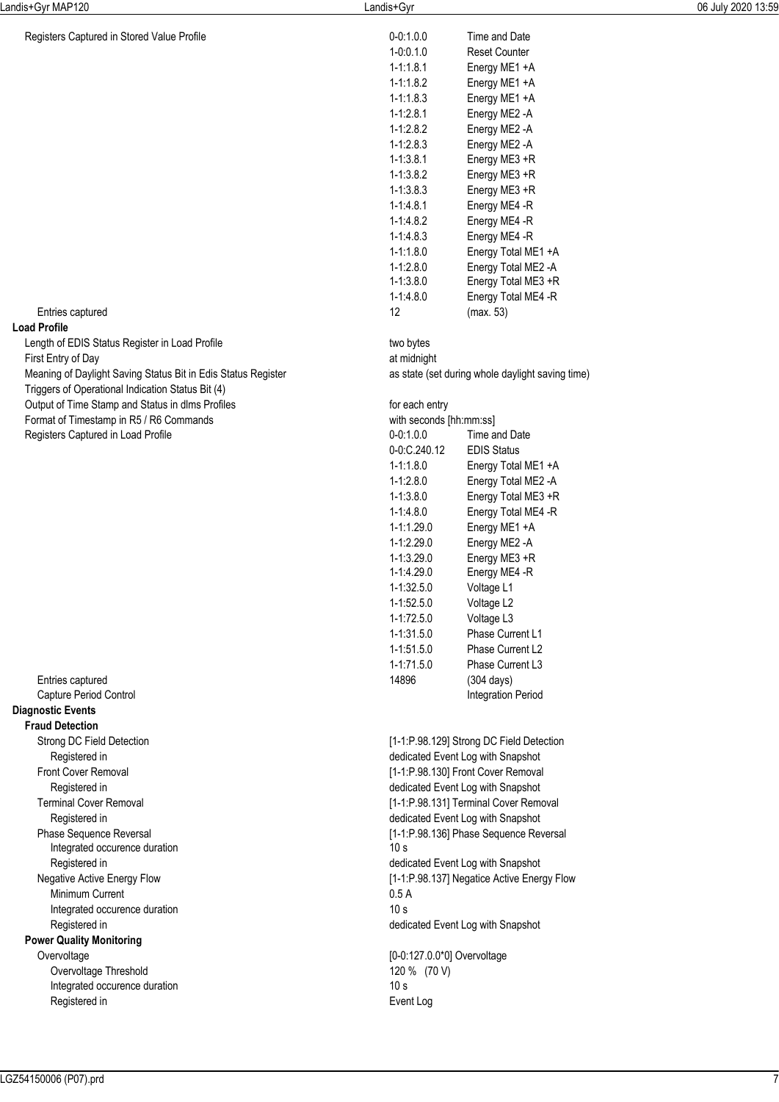## Registers Captured in Stored Value Profile

| 0-0:1.0.0     | Time and Date       |
|---------------|---------------------|
| $1-0:0.1.0$   | Reset Counter       |
| $1 - 1:1.8.1$ | Energy ME1 +A       |
| $1 - 1:1.8.2$ | Energy ME1 +A       |
| $1 - 1:1.8.3$ | Energy ME1 +A       |
| $1 - 1:2.8.1$ | Energy ME2 - A      |
| $1-1:2.8.2$   | Energy ME2 - A      |
| $1 - 1:2.8.3$ | Energy ME2 - A      |
| $1 - 1:3.8.1$ | Energy ME3 +R       |
| $1 - 1:3.8.2$ | Energy ME3 +R       |
| $1 - 1:3.8.3$ | Energy ME3 +R       |
| $1 - 1:4.8.1$ | Energy ME4 -R       |
| $1-1:4.8.2$   | Energy ME4 -R       |
| $1 - 1:4.8.3$ | Energy ME4 -R       |
| $1 - 1:1.8.0$ | Energy Total ME1 +A |
| $1 - 1:2.8.0$ | Energy Total ME2 -A |
| $1 - 1:3.8.0$ | Energy Total ME3 +R |
| $1 - 1:4.8.0$ | Energy Total ME4 -R |
| 12            | (max. 53)           |
|               |                     |

|                         | ີ                       |
|-------------------------|-------------------------|
| for each entry          |                         |
| with seconds [hh:mm:ss] |                         |
| $0 - 0:1.0.0$           | Time and Date           |
| $0 - 0$ :C.240.12       | <b>EDIS Status</b>      |
| $1 - 1:1.8.0$           | Energy Total ME1 +A     |
| $1-1:2.8.0$             | Energy Total ME2 -A     |
| $1 - 1:3.8.0$           | Energy Total ME3 +R     |
| $1 - 1:4.8.0$           | Energy Total ME4 -R     |
| $1 - 1:1.29.0$          | Energy ME1 +A           |
| $1-1:2.29.0$            | Energy ME2 - A          |
| 1-1:3.29.0              | Energy ME3 +R           |
| $1 - 1:4.29.0$          | Energy ME4 -R           |
| $1 - 1:32.5.0$          | Voltage L1              |
| $1 - 1:52.5.0$          | Voltage L2              |
| $1 - 1:72.5.0$          | Voltage L3              |
| $1 - 1:31.5.0$          | <b>Phase Current L1</b> |
| 1-1:51.5.0              | Phase Current L2        |
| $1 - 1:71.5.0$          | Phase Current L3        |
| 11000                   | $(201 \text{ days})$    |

Strong DC Field Detection [1-1:P.98.129] Strong DC Field Detection Registered in the contract of the contract of the dedicated Event Log with Snapshot Front Cover Removal [1-1:P.98.130] Front Cover Removal Registered in **Network** Event Log with Snapshot Terminal Cover Removal [1-1:P.98.131] Terminal Cover Removal Registered in the contract of the contract of the dedicated Event Log with Snapshot Phase Sequence Reversal **Figure 2.12-1:P.98.136]** Phase Sequence Reversal Registered in the contract of the contract of the dedicated Event Log with Snapshot Negative Active Energy Flow **Energy Flow** [1-1:P.98.137] Negatice Active Energy Flow Registered in the contract of the contract of the dedicated Event Log with Snapshot

Registered in Event Log

### Load Profile

Length of EDIS Status Register in Load Profile two bytes First Entry of Day at midnight

Meaning of Daylight Saving Status Bit in Edis Status Register and the state (set during whole daylight saving time)

Triggers of Operational Indication Status Bit (4)

Output of Time Stamp and Status in dlms Profiles

Format of Timestamp in R5 / R6 Commands

Registers Captured in Load Profile

Entries captured (304 days) and the state of the 14896 (304 days) Capture Period Control **Integration Period** Control **Integration Period** Diagnostic Events Fraud Detection Integrated occurence duration 10 s Minimum Current 0.5 A Integrated occurence duration 10 s Power Quality Monitoring Overvoltage  $[0-0.127.0.0*0]$  Overvoltage Overvoltage Threshold 120 % (70 V) Integrated occurence duration 10 s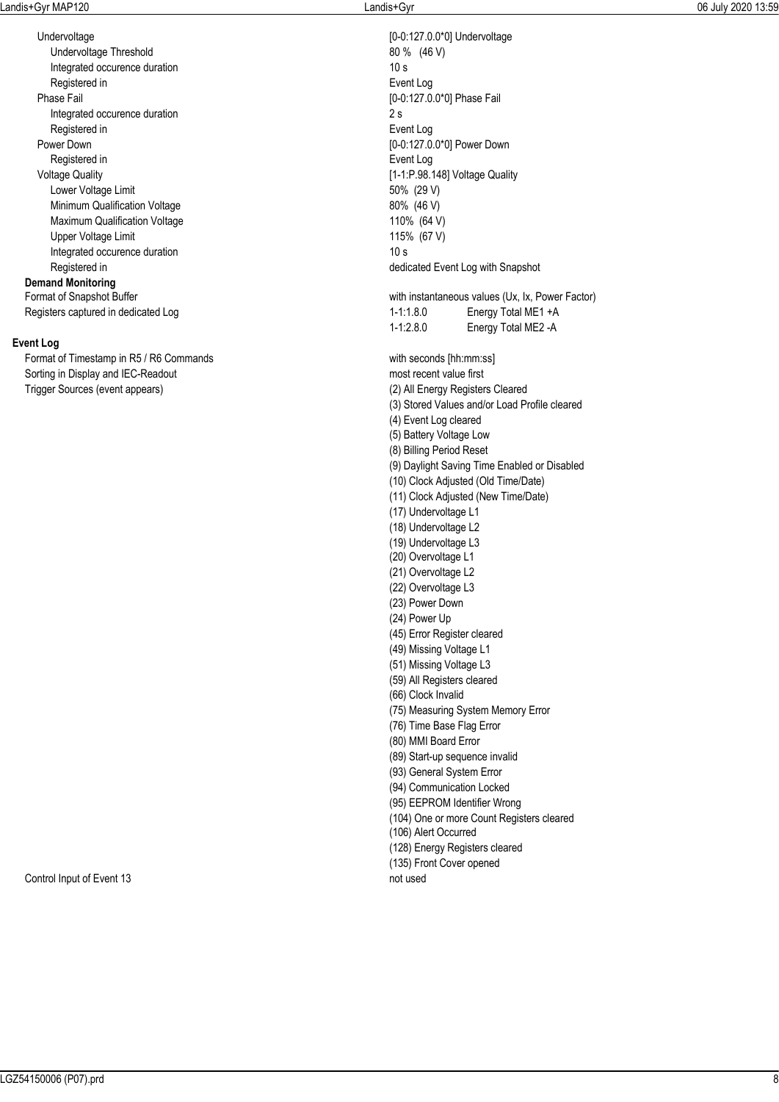Undervoltage **[0-0:127.0.0\*0]** Undervoltage Undervoltage Threshold 80 % (46 V) Integrated occurence duration 10 s Registered in Event Log Phase Fail **Phase Fail Phase Fail Phase Fail Phase Fail Phase Fail Phase Fail Phase Fail Phase Fail** Integrated occurence duration 2 s Registered in Event Log Power Down **Figure 2012** Power Down **Figure 2012 Power Down Figure 2014 Power Down** Registered in Event Log Voltage Quality **Contains a Contract Contains a Contract Contract Contract Contract Contract Contract Contract Contract Contract Contract Contract Contract Contract Contract Contract Contract Contract Contract Contract Con** Lower Voltage Limit 60% (29 V) Minimum Qualification Voltage 80% (46 V) Maximum Qualification Voltage 110% (64 V) Upper Voltage Limit 115% (67 V) Integrated occurence duration 10 s Demand Monitoring

### Event Log

Format of Timestamp in R5 / R6 Commands with seconds [hh:mm:ss] Sorting in Display and IEC-Readout most recent value first Trigger Sources (event appears) (2) All Energy Registers Cleared

Control Input of Event 13 not used

Registered in dedicated Event Log with Snapshot Format of Snapshot Buffer with instantaneous values (Ux, Ix, Power Factor) Registers captured in dedicated Log 1-1:1.8.0 Energy Total ME1 +A 1-1:2.8.0 Energy Total ME2 -A (3) Stored Values and/or Load Profile cleared (4) Event Log cleared (5) Battery Voltage Low (8) Billing Period Reset (9) Daylight Saving Time Enabled or Disabled (10) Clock Adjusted (Old Time/Date) (11) Clock Adjusted (New Time/Date) (17) Undervoltage L1 (18) Undervoltage L2 (19) Undervoltage L3 (20) Overvoltage L1 (21) Overvoltage L2 (22) Overvoltage L3 (23) Power Down (24) Power Up (45) Error Register cleared (49) Missing Voltage L1 (51) Missing Voltage L3 (59) All Registers cleared (66) Clock Invalid (75) Measuring System Memory Error (76) Time Base Flag Error (80) MMI Board Error (89) Start-up sequence invalid (93) General System Error (94) Communication Locked (95) EEPROM Identifier Wrong (104) One or more Count Registers cleared (106) Alert Occurred (128) Energy Registers cleared (135) Front Cover opened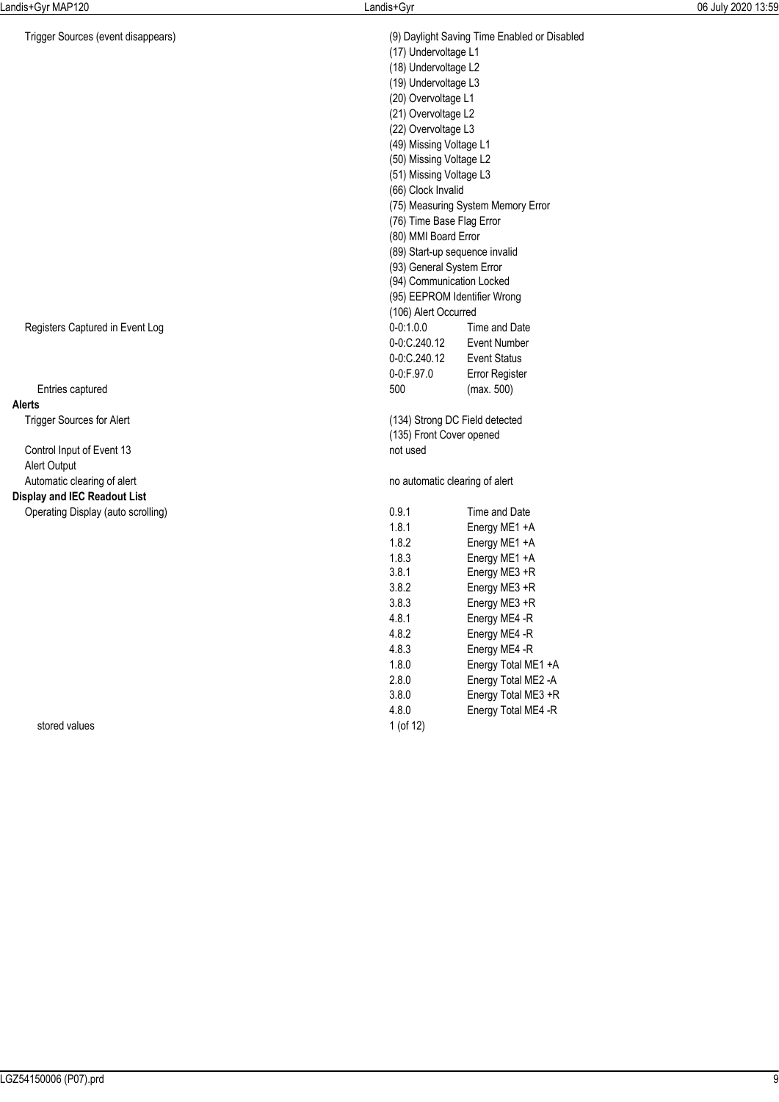Automatic clearing of alert Display and IEC Readout List Operating Display (auto scrolling)

Alerts

| Trigger Sources (event disappears) | (9) Daylight Saving Time Enabled or Disabled |
|------------------------------------|----------------------------------------------|
|                                    | (17) Undervoltage L1                         |
|                                    | (18) Undervoltage L2                         |
|                                    | (19) Undervoltage L3                         |
|                                    | (20) Overvoltage L1                          |
|                                    | (21) Overvoltage L2                          |
|                                    | (22) Overvoltage L3                          |
|                                    | (49) Missing Voltage L1                      |
|                                    | (50) Missing Voltage L2                      |
|                                    | (51) Missing Voltage L3                      |
|                                    | (66) Clock Invalid                           |
|                                    | (75) Measuring System Memory Error           |
|                                    | (76) Time Base Flag Error                    |
|                                    | (80) MMI Board Error                         |
|                                    | (89) Start-up sequence invalid               |
|                                    | (93) General System Error                    |
|                                    | (94) Communication Locked                    |
|                                    | (95) EEPROM Identifier Wrong                 |
|                                    | (106) Alert Occurred                         |
| Registers Captured in Event Log    | $0 - 0:1.0.0$<br>Time and Date               |
|                                    | 0-0:C.240.12<br><b>Event Number</b>          |
|                                    | 0-0:C.240.12<br><b>Event Status</b>          |
|                                    | $0 - 0.$ F.97.0<br>Error Register            |
| Entries captured                   | 500<br>(max. 500)                            |
| erts                               |                                              |
| <b>Trigger Sources for Alert</b>   | (134) Strong DC Field detected               |
|                                    | (135) Front Cover opened                     |
| Control Input of Event 13          | not used                                     |
| Alert Output                       |                                              |
| Automatic clearing of alert        | no automatic clearing of alert               |
| splay and IEC Readout List         |                                              |
| Operating Display (auto scrolling) | 0.9.1<br>Time and Date                       |
|                                    | 1.8.1<br>Energy ME1 +A                       |
|                                    | 1.8.2<br>Energy ME1 +A                       |
|                                    | 1.8.3<br>Energy ME1 +A                       |
|                                    | 3.8.1<br>Energy ME3 +R                       |
|                                    | 3.8.2<br>Energy ME3 +R                       |
|                                    | 3.8.3<br>Energy ME3 +R                       |
|                                    |                                              |

| 0.9.1     | Time and Date       |
|-----------|---------------------|
| 1.8.1     | Energy ME1 +A       |
| 1.8.2     | Energy ME1 +A       |
| 1.8.3     | Energy ME1 +A       |
| 3.8.1     | Energy ME3 +R       |
| 3.8.2     | Energy ME3 +R       |
| 3.8.3     | Energy ME3 +R       |
| 4.8.1     | Energy ME4 -R       |
| 4.8.2     | Energy ME4 -R       |
| 4.8.3     | Energy ME4 -R       |
| 1.8.0     | Energy Total ME1 +A |
| 2.8.0     | Energy Total ME2 -A |
| 3.8.0     | Energy Total ME3 +R |
| 4.8.0     | Energy Total ME4 -R |
| 1 (of 12) |                     |
|           |                     |

stored values 1 (of 12) and 1 (or 12) and 1 (or 12) and 1 (or 12) and 1 (or 12) and 1 (or 12) and 1 (or 12) and 1 (or 12) and 1 (or 12) and 1 (or 12) and 1 (or 12) and 1 (or 12) and 1 (or 12) and 1 (or 12) and 1 (or 12) an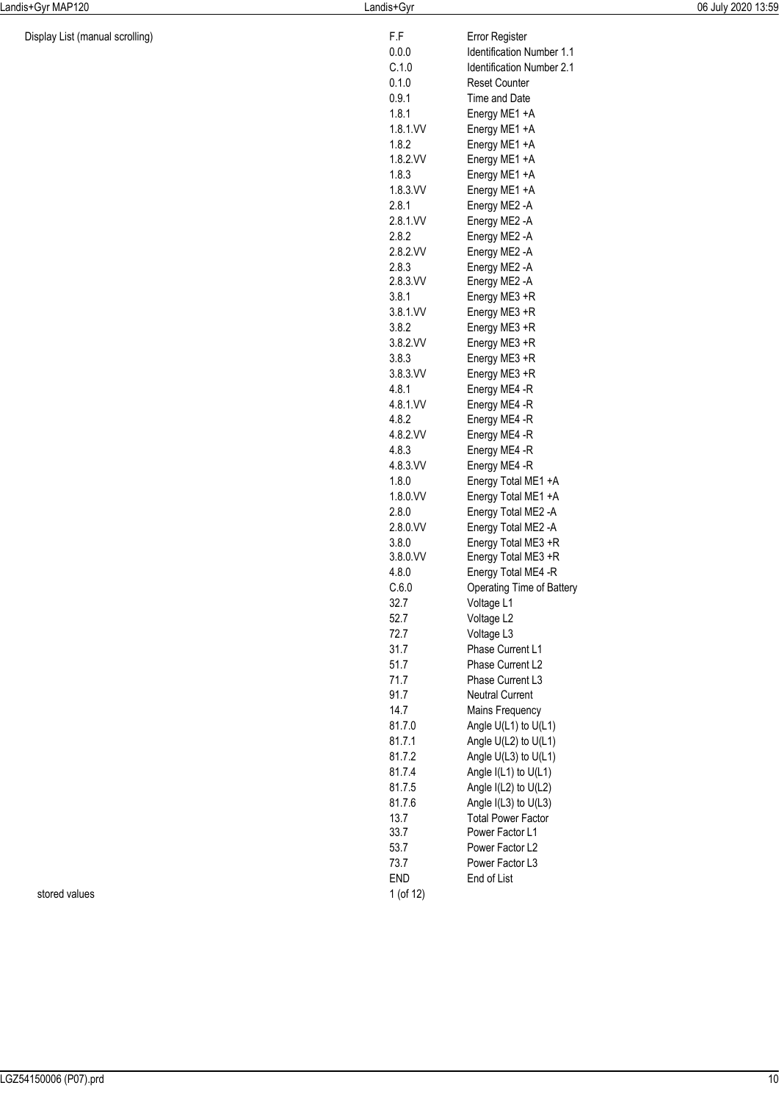# Display List (manual scrolling)

| F.F        | <b>Error Register</b>            |
|------------|----------------------------------|
| 0.0.0      | <b>Identification Number 1.1</b> |
| C.1.0      | <b>Identification Number 2.1</b> |
| 0.1.0      | <b>Reset Counter</b>             |
| 0.9.1      | Time and Date                    |
| 1.8.1      |                                  |
|            | Energy ME1 +A                    |
| 1.8.1.VV   | Energy ME1 +A                    |
| 1.8.2      | Energy ME1 +A                    |
| 1.8.2.VV   | Energy ME1 +A                    |
| 1.8.3      | Energy ME1 +A                    |
| 1.8.3.VV   | Energy ME1 +A                    |
| 2.8.1      | Energy ME2 - A                   |
| 2.8.1.VV   | Energy ME2 - A                   |
| 2.8.2      | Energy ME2 - A                   |
| 2.8.2.VV   | Energy ME2 - A                   |
| 2.8.3      | Energy ME2 - A                   |
| 2.8.3.VV   | Energy ME2 - A                   |
| 3.8.1      | Energy ME3 +R                    |
| 3.8.1.VV   | Energy ME3 +R                    |
|            |                                  |
| 3.8.2      | Energy ME3 +R                    |
| 3.8.2.VV   | Energy ME3 +R                    |
| 3.8.3      | Energy ME3 +R                    |
| 3.8.3.VV   | Energy ME3 +R                    |
| 4.8.1      | Energy ME4 -R                    |
| 4.8.1.VV   | Energy ME4 -R                    |
| 4.8.2      | Energy ME4 -R                    |
| 4.8.2.VV   | Energy ME4 -R                    |
| 4.8.3      | Energy ME4 -R                    |
| 4.8.3.VV   | Energy ME4 -R                    |
| 1.8.0      | Energy Total ME1 +A              |
| 1.8.0.VV   | Energy Total ME1 +A              |
| 2.8.0      | Energy Total ME2 - A             |
| 2.8.0.VV   | Energy Total ME2 -A              |
| 3.8.0      | Energy Total ME3 +R              |
| 3.8.0.VV   | Energy Total ME3 +R              |
|            |                                  |
| 4.8.0      | Energy Total ME4 -R              |
| C.6.0      | <b>Operating Time of Battery</b> |
| 32.7       | Voltage L1                       |
| 52.7       | Voltage L2                       |
| 72.7       | Voltage L3                       |
| 31.7       | Phase Current L1                 |
| 51.7       | Phase Current L2                 |
| 71.7       | Phase Current L3                 |
| 91.7       | <b>Neutral Current</b>           |
| 14.7       | <b>Mains Frequency</b>           |
| 81.7.0     | Angle U(L1) to U(L1)             |
| 81.7.1     | Angle U(L2) to U(L1)             |
| 81.7.2     | Angle U(L3) to U(L1)             |
| 81.7.4     | Angle I(L1) to U(L1)             |
| 81.7.5     |                                  |
|            | Angle I(L2) to U(L2)             |
| 81.7.6     | Angle I(L3) to U(L3)             |
| 13.7       | <b>Total Power Factor</b>        |
| 33.7       | Power Factor L1                  |
| 53.7       | Power Factor L2                  |
| 73.7       | Power Factor L3                  |
| <b>END</b> | End of List                      |
| 1 (of 12)  |                                  |

stored values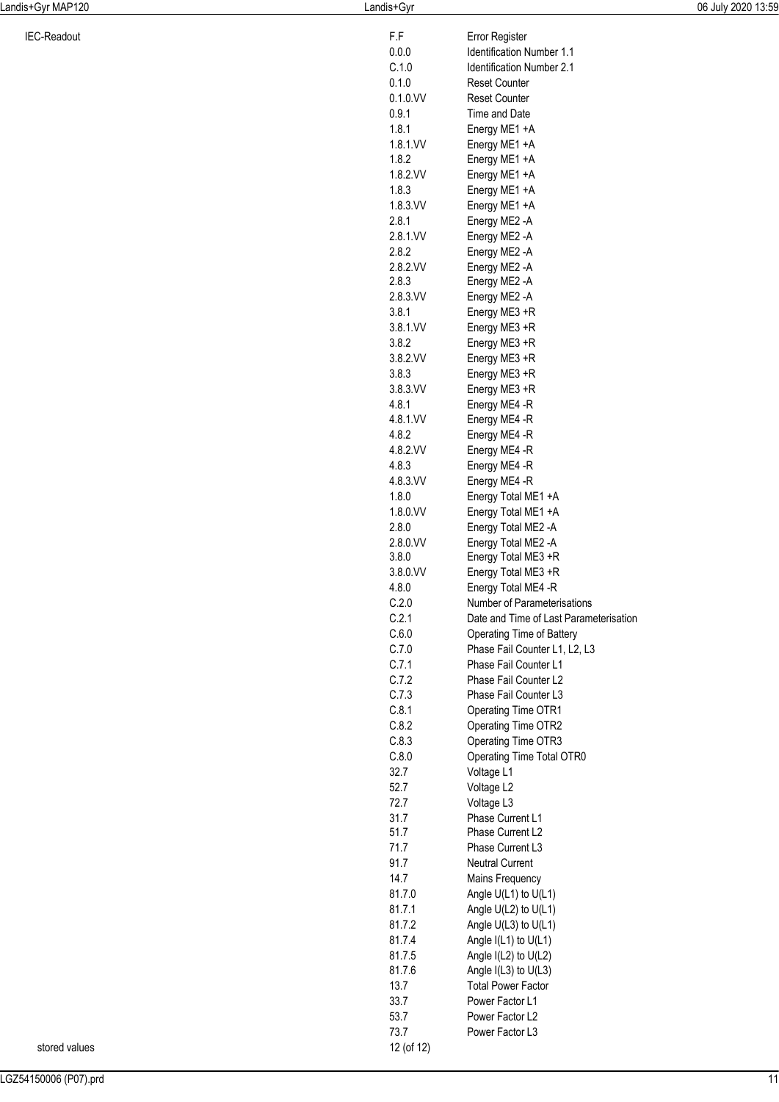Landis+Gyr MAP120 Landis+Gyr 06 July 2020 13:59

IEC-Readout

| F.F            | Error Register                         |
|----------------|----------------------------------------|
| 0.0.0          | <b>Identification Number 1.1</b>       |
| C.1.0          | <b>Identification Number 2.1</b>       |
| 0.1.0          | Reset Counter                          |
|                |                                        |
| $0.1.0$ . $VV$ | Reset Counter                          |
| 0.9.1          | Time and Date                          |
| 1.8.1          | Energy ME1 +A                          |
| 1.8.1.VV       | Energy ME1 +A                          |
| 1.8.2          | Energy ME1 +A                          |
| 1.8.2.VV       | Energy ME1 +A                          |
| 1.8.3          | Energy ME1 +A                          |
| 1.8.3.W        | Energy ME1 +A                          |
| 2.8.1          | Energy ME2 - A                         |
| 2.8.1.VV       | Energy ME2 - A                         |
| 2.8.2          | Energy ME2 - A                         |
| 2.8.2.VV       | Energy ME2 - A                         |
| 2.8.3          | Energy ME2 - A                         |
| 2.8.3.VV       | Energy ME2 - A                         |
|                |                                        |
| 3.8.1          | Energy ME3 +R                          |
| 3.8.1.VV       | Energy ME3 +R                          |
| 3.8.2          | Energy ME3 +R                          |
| 3.8.2.VV       | Energy ME3 +R                          |
| 3.8.3          | Energy ME3 +R                          |
| 3.8.3.VV       | Energy ME3 +R                          |
| 4.8.1          | Energy ME4 -R                          |
| 4.8.1.VV       | Energy ME4 -R                          |
| 4.8.2          | Energy ME4 -R                          |
| 4.8.2.VV       | Energy ME4 -R                          |
| 4.8.3          | Energy ME4 -R                          |
| 4.8.3.VV       | Energy ME4 -R                          |
| 1.8.0          | Energy Total ME1 +A                    |
| 1.8.0.VV       | Energy Total ME1 +A                    |
| 2.8.0          |                                        |
|                | Energy Total ME2 - A                   |
| 2.8.0.VV       | Energy Total ME2 - A                   |
| 3.8.0          | Energy Total ME3 +R                    |
| 3.8.0.VV       | Energy Total ME3 +R                    |
| 4.8.0          | Energy Total ME4 -R                    |
| C.2.0          | Number of Parameterisations            |
| C.2.1          | Date and Time of Last Parameterisation |
| C.6.0          | Operating Time of Battery              |
| C.7.0          | Phase Fail Counter L1, L2, L3          |
| C.7.1          | Phase Fail Counter L1                  |
| C.7.2          | Phase Fail Counter L2                  |
| C.7.3          | Phase Fail Counter L3                  |
| C.8.1          | <b>Operating Time OTR1</b>             |
| C.8.2          | Operating Time OTR2                    |
| C.8.3          | Operating Time OTR3                    |
|                |                                        |
| C.8.0          | Operating Time Total OTR0              |
| 32.7           | Voltage L1                             |
| 52.7           | Voltage L2                             |
| 72.7           | Voltage L3                             |
| 31.7           | Phase Current L1                       |
| 51.7           | Phase Current L2                       |
| 71.7           | Phase Current L3                       |
| 91.7           | Neutral Current                        |
| 14.7           | Mains Frequency                        |
| 81.7.0         | Angle U(L1) to U(L1)                   |
| 81.7.1         | Angle U(L2) to U(L1)                   |
| 81.7.2         | Angle U(L3) to U(L1)                   |
| 81.7.4         | Angle I(L1) to U(L1)                   |
| 81.7.5         | Angle I(L2) to U(L2)                   |
| 81.7.6         |                                        |
|                | Angle I(L3) to U(L3)                   |
| 13.7           | <b>Total Power Factor</b>              |
| 33.7           | Power Factor L1                        |
| 53.7           | Power Factor L2                        |
| 73.7           | Power Factor L3                        |
| 12 (of 12)     |                                        |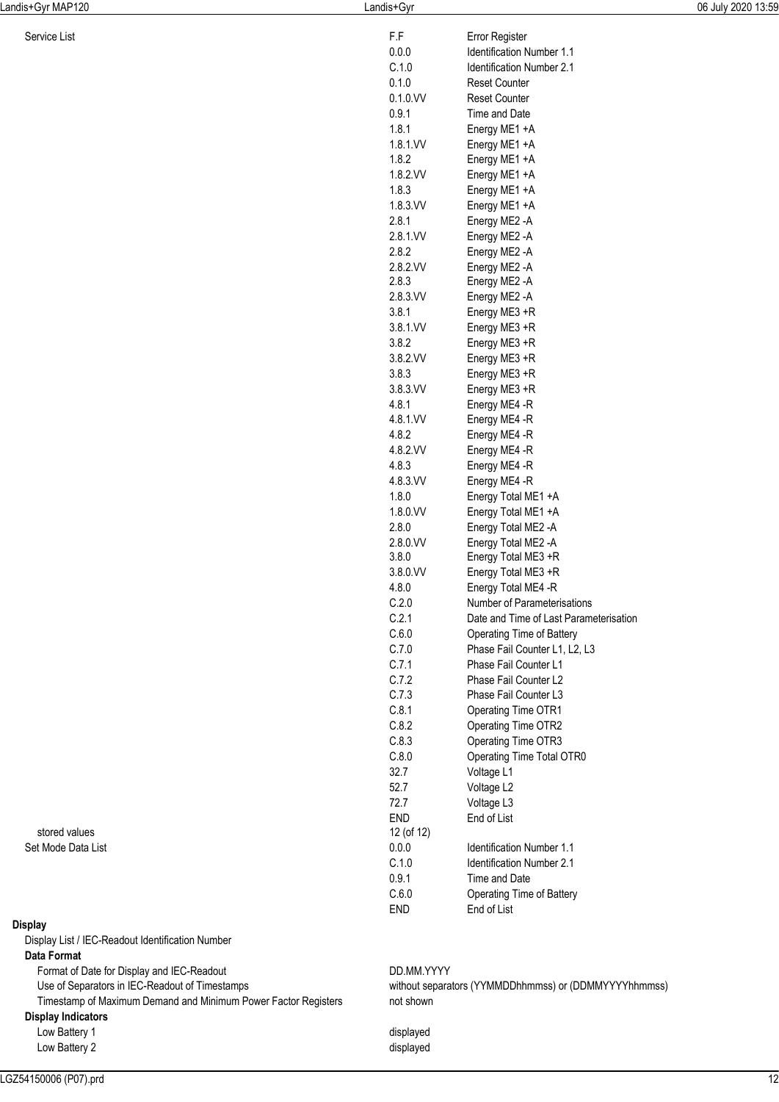| Service List       | F.F          | <b>Error Register</b>                  |
|--------------------|--------------|----------------------------------------|
|                    | 0.0.0        | Identification Number 1.1              |
|                    | C.1.0        | Identification Number 2.1              |
|                    | 0.1.0        | <b>Reset Counter</b>                   |
|                    | $0.1.0$ . VV | <b>Reset Counter</b>                   |
|                    | 0.9.1        | Time and Date                          |
|                    | 1.8.1        | Energy ME1 +A                          |
|                    | 1.8.1.VV     | Energy ME1 +A                          |
|                    | 1.8.2        | Energy ME1 +A                          |
|                    | 1.8.2.VV     | Energy ME1 +A                          |
|                    | 1.8.3        | Energy ME1 +A                          |
|                    | 1.8.3.VV     | Energy ME1 +A                          |
|                    | 2.8.1        | Energy ME2 - A                         |
|                    | 2.8.1.VV     | Energy ME2 - A                         |
|                    | 2.8.2        | Energy ME2 - A                         |
|                    | 2.8.2.VV     | Energy ME2 - A                         |
|                    | 2.8.3        | Energy ME2 - A                         |
|                    | 2.8.3.VV     | Energy ME2 - A                         |
|                    | 3.8.1        | Energy ME3 +R                          |
|                    | 3.8.1.VV     | Energy ME3 +R                          |
|                    | 3.8.2        | Energy ME3 +R                          |
|                    | 3.8.2.VV     | Energy ME3 +R                          |
|                    | 3.8.3        | Energy ME3 +R                          |
|                    | 3.8.3.VV     | Energy ME3 +R                          |
|                    | 4.8.1        | Energy ME4 -R                          |
|                    | 4.8.1.VV     | Energy ME4 -R                          |
|                    | 4.8.2        | Energy ME4 -R                          |
|                    | 4.8.2.VV     | Energy ME4 -R                          |
|                    | 4.8.3        | Energy ME4 -R                          |
|                    | 4.8.3.VV     | Energy ME4 -R                          |
|                    | 1.8.0        | Energy Total ME1 +A                    |
|                    | 1.8.0.VV     | Energy Total ME1 +A                    |
|                    | 2.8.0        | Energy Total ME2 -A                    |
|                    | 2.8.0.VV     | Energy Total ME2 -A                    |
|                    | 3.8.0        | Energy Total ME3 +R                    |
|                    | 3.8.0.VV     | Energy Total ME3 +R                    |
|                    | 4.8.0        | Energy Total ME4 -R                    |
|                    | C.2.0        | Number of Parameterisations            |
|                    | C.2.1        | Date and Time of Last Parameterisation |
|                    | C.6.0        | <b>Operating Time of Battery</b>       |
|                    | C.7.0        | Phase Fail Counter L1, L2, L3          |
|                    | C.7.1        | Phase Fail Counter L1                  |
|                    | C.7.2        | Phase Fail Counter L2                  |
|                    | C.7.3        | Phase Fail Counter L3                  |
|                    | C.8.1        | Operating Time OTR1                    |
|                    | C.8.2        | Operating Time OTR2                    |
|                    | C.8.3        | Operating Time OTR3                    |
|                    | C.8.0        | Operating Time Total OTR0              |
|                    | 32.7         | Voltage L1                             |
|                    | 52.7         | Voltage L2                             |
|                    | 72.7         | Voltage L3                             |
|                    | END          | End of List                            |
| stored values      | 12 (of 12)   |                                        |
| Set Mode Data List | 0.0.0        | Identification Number 1.1              |
|                    | C.1.0        | Identification Number 2.1              |
|                    | 0.9.1        | Time and Date                          |
|                    | C.6.0        | Operating Time of Battery              |
|                    | <b>END</b>   | End of List                            |

### Display

Display List / IEC-Readout Identification Number Data Format

Format of Date for Display and IEC-Readout<br>
Use of Separators in IEC-Readout of Timestamps<br>
without separators in IEC-Readout of Timestamps Timestamp of Maximum Demand and Minimum Power Factor Registers not shown

Display Indicators

Low Battery 1 displayed

without separators (YYMMDDhhmmss) or (DDMMYYYYhhmmss)

Low Battery 2 displayed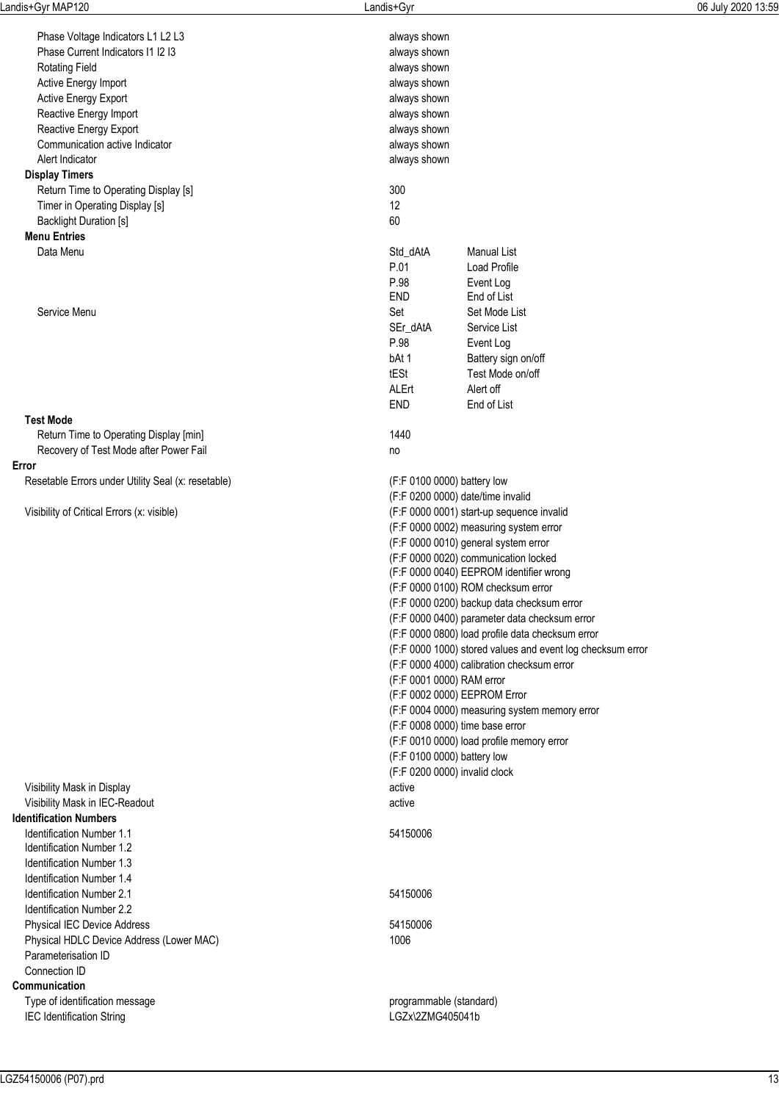Phase Voltage Indicators L1 L2 L3 always shown Phase Current Indicators I1 I2 I3 Rotating Field Active Energy Import Active Energy Export Reactive Energy Import Reactive Energy Export Communication active Indicator Alert Indicator Display Timers Return Time to Operating Display [s]

Timer in Operating Display [s] Backlight Duration [s] Menu Entries

### Test Mode

| Return Time to Operating Display [min] | 1440 |
|----------------------------------------|------|
| Recovery of Test Mode after Power Fail | no   |
| Error                                  |      |

Resetable Errors under Utility Seal (x: resetable)

Visibility of Critical Errors (x: visible)

Visibility Mask in Display Visibility Mask in IEC-Readout Identification Numbers Identification Number 1.1 Identification Number 1.2 Identification Number 1.3 Identification Number 1.4 Identification Number 2.1 Identification Number 2.2 Physical IEC Device Address Physical HDLC Device Address (Lower MAC) Parameterisation ID Connection ID Communication Type of identification message programmable (stand<br>IEC Identification String<br>IEC Identification String IEC Identification String

| Phase Voltage Indicators L1 L2 L3                | always shown                |                                                            |
|--------------------------------------------------|-----------------------------|------------------------------------------------------------|
| Phase Current Indicators I1 I2 I3                | always shown                |                                                            |
| <b>Rotating Field</b>                            | always shown                |                                                            |
| Active Energy Import                             | always shown                |                                                            |
| Active Energy Export                             | always shown                |                                                            |
| Reactive Energy Import                           | always shown                |                                                            |
| Reactive Energy Export                           | always shown                |                                                            |
| Communication active Indicator                   | always shown                |                                                            |
| Alert Indicator                                  | always shown                |                                                            |
|                                                  |                             |                                                            |
| splay Timers                                     |                             |                                                            |
| Return Time to Operating Display [s]             | 300                         |                                                            |
| Timer in Operating Display [s]                   | 12                          |                                                            |
| Backlight Duration [s]                           | 60                          |                                                            |
| nu Entries                                       |                             |                                                            |
| Data Menu                                        | Std dAtA                    | <b>Manual List</b>                                         |
|                                                  | P.01                        | Load Profile                                               |
|                                                  | P.98                        | Event Log                                                  |
|                                                  | END                         | End of List                                                |
| Service Menu                                     | Set                         | Set Mode List                                              |
|                                                  | SEr_dAtA                    | Service List                                               |
|                                                  | P.98                        | Event Log                                                  |
|                                                  | bAt 1                       |                                                            |
|                                                  |                             | Battery sign on/off                                        |
|                                                  | tESt                        | Test Mode on/off                                           |
|                                                  | <b>ALErt</b>                | Alert off                                                  |
|                                                  | END                         | End of List                                                |
| st Mode                                          |                             |                                                            |
| Return Time to Operating Display [min]           | 1440                        |                                                            |
| Recovery of Test Mode after Power Fail           | no                          |                                                            |
|                                                  |                             |                                                            |
| setable Errors under Utility Seal (x: resetable) | (F:F 0100 0000) battery low |                                                            |
|                                                  |                             | (F:F 0200 0000) date/time invalid                          |
| ibility of Critical Errors (x: visible)          |                             | (F:F 0000 0001) start-up sequence invalid                  |
|                                                  |                             | (F:F 0000 0002) measuring system error                     |
|                                                  |                             |                                                            |
|                                                  |                             | (F:F 0000 0010) general system error                       |
|                                                  |                             | (F:F 0000 0020) communication locked                       |
|                                                  |                             | (F:F 0000 0040) EEPROM identifier wrong                    |
|                                                  |                             | (F:F 0000 0100) ROM checksum error                         |
|                                                  |                             | (F:F 0000 0200) backup data checksum error                 |
|                                                  |                             | (F:F 0000 0400) parameter data checksum error              |
|                                                  |                             | (F:F 0000 0800) load profile data checksum error           |
|                                                  |                             | (F:F 0000 1000) stored values and event log checksum error |
|                                                  |                             | (F:F 0000 4000) calibration checksum error                 |
|                                                  |                             |                                                            |
|                                                  | (F:F 0001 0000) RAM error   |                                                            |
|                                                  |                             | (F:F 0002 0000) EEPROM Error                               |
|                                                  |                             | (F:F 0004 0000) measuring system memory error              |
|                                                  |                             | (F:F 0008 0000) time base error                            |
|                                                  |                             | (F:F 0010 0000) load profile memory error                  |
|                                                  | (F:F 0100 0000) battery low |                                                            |
|                                                  |                             | (F:F 0200 0000) invalid clock                              |
| ibility Mask in Display                          | active                      |                                                            |
| ibility Mask in IEC-Readout                      | active                      |                                                            |
| fication Numbers                                 |                             |                                                            |
|                                                  |                             |                                                            |
| ntification Number 1.1                           | 54150006                    |                                                            |
| ntification Number 1.2                           |                             |                                                            |
| ntification Number 1.3                           |                             |                                                            |
| ntification Number 1.4                           |                             |                                                            |
| ntification Number 2.1                           | 54150006                    |                                                            |
| ntification Number 2.2                           |                             |                                                            |
| ysical IEC Device Address                        | 54150006                    |                                                            |
| ysical HDLC Device Address (Lower MAC)           | 1006                        |                                                            |
| rameterisation ID                                |                             |                                                            |
| nnection ID                                      |                             |                                                            |
| nunication                                       |                             |                                                            |
|                                                  |                             |                                                            |
| be of identification message                     | programmable (standard)     |                                                            |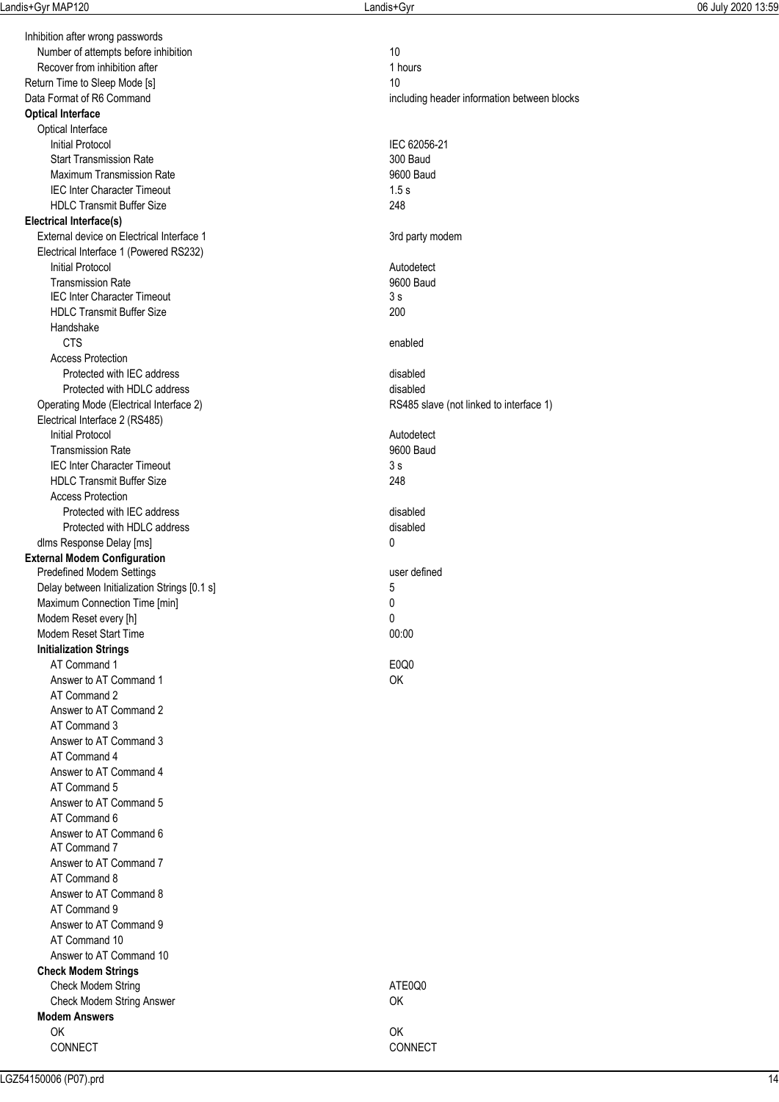| Inhibition after wrong passwords                        |                                             |
|---------------------------------------------------------|---------------------------------------------|
| Number of attempts before inhibition                    | 10                                          |
| Recover from inhibition after                           | 1 hours                                     |
| Return Time to Sleep Mode [s]                           | 10                                          |
| Data Format of R6 Command                               | including header information between blocks |
| <b>Optical Interface</b>                                |                                             |
| Optical Interface                                       |                                             |
| <b>Initial Protocol</b>                                 | IEC 62056-21                                |
| <b>Start Transmission Rate</b>                          | 300 Baud                                    |
| Maximum Transmission Rate                               | 9600 Baud                                   |
| <b>IEC Inter Character Timeout</b>                      | 1.5s                                        |
| <b>HDLC Transmit Buffer Size</b>                        | 248                                         |
| Electrical Interface(s)                                 |                                             |
| External device on Electrical Interface 1               | 3rd party modem                             |
| Electrical Interface 1 (Powered RS232)                  |                                             |
| Initial Protocol                                        | Autodetect                                  |
| <b>Transmission Rate</b>                                | 9600 Baud                                   |
| <b>IEC Inter Character Timeout</b>                      | 3s                                          |
| <b>HDLC Transmit Buffer Size</b>                        | 200                                         |
| Handshake                                               |                                             |
| <b>CTS</b>                                              | enabled                                     |
| <b>Access Protection</b>                                |                                             |
| Protected with IEC address                              | disabled                                    |
| Protected with HDLC address                             | disabled                                    |
| Operating Mode (Electrical Interface 2)                 | RS485 slave (not linked to interface 1)     |
| Electrical Interface 2 (RS485)                          |                                             |
| <b>Initial Protocol</b>                                 | Autodetect                                  |
| <b>Transmission Rate</b>                                | 9600 Baud                                   |
| <b>IEC Inter Character Timeout</b>                      | 3 s                                         |
| <b>HDLC Transmit Buffer Size</b>                        | 248                                         |
| <b>Access Protection</b>                                |                                             |
| Protected with IEC address                              | disabled                                    |
| Protected with HDLC address                             | disabled                                    |
| dlms Response Delay [ms]                                | 0                                           |
| <b>External Modem Configuration</b>                     |                                             |
| Predefined Modem Settings                               | user defined                                |
| Delay between Initialization Strings [0.1 s]            | 5                                           |
| Maximum Connection Time [min]                           | 0                                           |
| Modem Reset every [h]                                   | 0                                           |
| Modem Reset Start Time<br><b>Initialization Strings</b> | 00:00                                       |
| AT Command 1                                            | E0Q0                                        |
| Answer to AT Command 1                                  | OK                                          |
| AT Command 2                                            |                                             |
| Answer to AT Command 2                                  |                                             |
| AT Command 3                                            |                                             |
| Answer to AT Command 3                                  |                                             |
| AT Command 4                                            |                                             |
| Answer to AT Command 4                                  |                                             |
| AT Command 5                                            |                                             |
| Answer to AT Command 5                                  |                                             |
| AT Command 6                                            |                                             |
| Answer to AT Command 6                                  |                                             |
| AT Command 7                                            |                                             |
| Answer to AT Command 7                                  |                                             |
| AT Command 8                                            |                                             |
| Answer to AT Command 8                                  |                                             |
| AT Command 9                                            |                                             |
| Answer to AT Command 9                                  |                                             |
| AT Command 10                                           |                                             |
| Answer to AT Command 10                                 |                                             |
| <b>Check Modem Strings</b>                              |                                             |
| Check Modem String                                      | ATE0Q0                                      |
| <b>Check Modem String Answer</b>                        | OK                                          |
| <b>Modem Answers</b>                                    |                                             |
| OK                                                      | OK                                          |
| CONNECT                                                 | CONNECT                                     |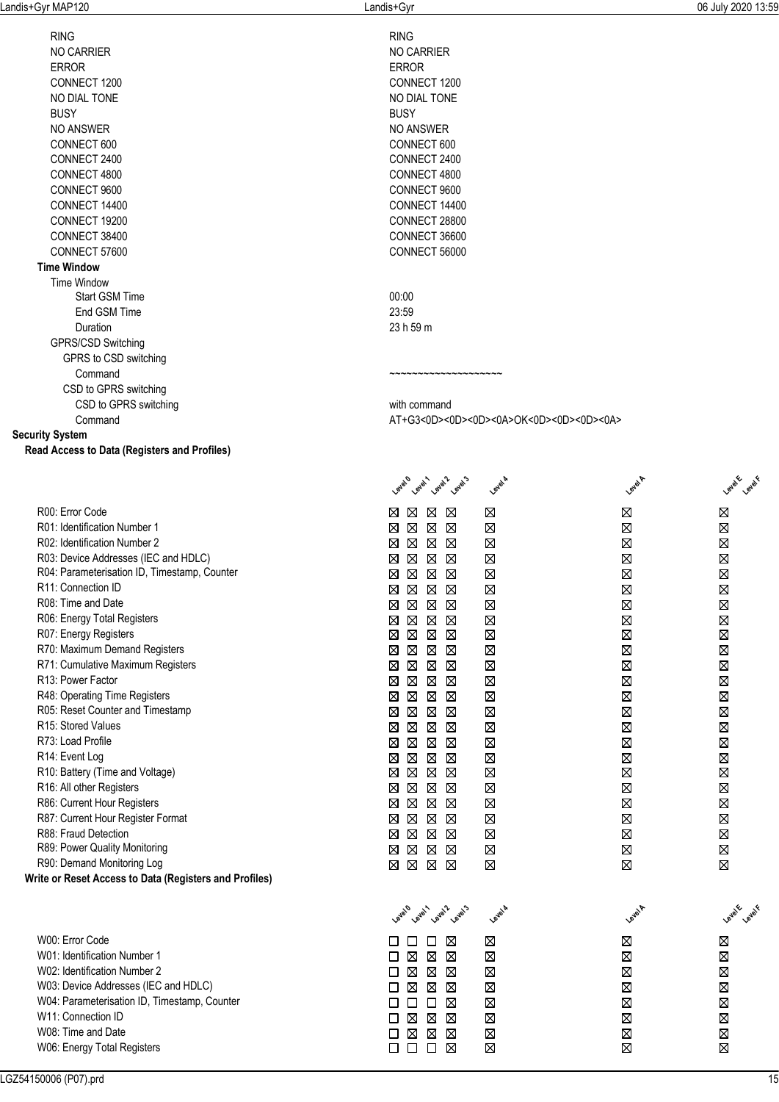RING **RING** 

| <b>NO CARRIER</b>                           |
|---------------------------------------------|
| <b>ERROR</b>                                |
| CONNECT 1200                                |
| NO DIAL TONE                                |
| <b>BUSY</b>                                 |
| NO ANSWER                                   |
| CONNECT 600                                 |
| CONNECT 2400                                |
| CONNECT 4800                                |
| CONNECT 9600                                |
| CONNECT 14400                               |
| CONNECT 28800                               |
| CONNECT 36600                               |
| CONNECT 56000                               |
|                                             |
|                                             |
| 00:00                                       |
| 23:59                                       |
| 23 h 59 m                                   |
|                                             |
|                                             |
|                                             |
|                                             |
| with command                                |
| AT+G3<0D><0D><0D><0D><0A>OK<0D><0D><0D><0A> |
|                                             |
|                                             |
|                                             |
|                                             |

| R <sub>00</sub> : Frror Code                           |
|--------------------------------------------------------|
| R01: Identification Number 1                           |
| R02: Identification Number 2                           |
| R03: Device Addresses (IEC and HDLC)                   |
| R04: Parameterisation ID, Timestamp, Counter           |
| R11: Connection ID                                     |
| R08: Time and Date                                     |
| R06: Energy Total Registers                            |
| R07: Energy Registers                                  |
| R70: Maximum Demand Registers                          |
| R71: Cumulative Maximum Registers                      |
| R <sub>13</sub> : Power Factor                         |
| R48: Operating Time Registers                          |
| R05: Reset Counter and Timestamp                       |
| R <sub>15</sub> : Stored Values                        |
| R73: Load Profile                                      |
| R14: Event Log                                         |
| R10: Battery (Time and Voltage)                        |
| R16: All other Registers                               |
| R86: Current Hour Registers                            |
| R87: Current Hour Register Format                      |
| R88: Fraud Detection                                   |
| R89: Power Quality Monitoring                          |
| R90: Demand Monitoring Log                             |
| Write or Reset Access to Data (Registers and Profiles) |
|                                                        |

W00: Error Code W01: Identification Number 1 W02: Identification Number 2 W03: Device Addresses (IEC and HDLC) W04: Parameterisation ID, Timestamp, Counter W11: Connection ID W08: Time and Date W06: Energy Total Registers

| Level2<br>Leyel <sup>3</sup><br>Leveld<br><b>Level</b>                                                                                                                                                                                                                                                                                                                                                                                                                                                                                                                                                                                                                                                                                                                                                                                                                                   | Level &                                                                                                                        | Level A                                                                                                                                                                                                                            | Level&<br>LeyelF                                                                                                                                                                                                                                                                                                                                 |
|------------------------------------------------------------------------------------------------------------------------------------------------------------------------------------------------------------------------------------------------------------------------------------------------------------------------------------------------------------------------------------------------------------------------------------------------------------------------------------------------------------------------------------------------------------------------------------------------------------------------------------------------------------------------------------------------------------------------------------------------------------------------------------------------------------------------------------------------------------------------------------------|--------------------------------------------------------------------------------------------------------------------------------|------------------------------------------------------------------------------------------------------------------------------------------------------------------------------------------------------------------------------------|--------------------------------------------------------------------------------------------------------------------------------------------------------------------------------------------------------------------------------------------------------------------------------------------------------------------------------------------------|
| ⊠<br>⊠<br>⊠<br>Χ<br>⊠<br>X<br>⊠<br>Σ<br>$\boxtimes$<br>⊠<br>⊠<br>⊠<br>$\boxtimes$<br>⊠<br>$\boxtimes$<br>⊠<br>$\boxtimes$<br>$\boxtimes$<br>X<br>⊠<br>$\boxtimes$<br>$\boxtimes$<br>$\boxtimes$<br>Ø<br>$\boxtimes$<br>$\boxtimes$<br>$\boxtimes$<br>⊠<br>$\boxtimes$<br>$\boxtimes$<br>$\boxtimes$<br>⊠<br>$\boxtimes$<br>$\boxtimes$<br>⊠<br>$\boxtimes$<br>$\boxtimes$<br>$\boxtimes$<br>⊠<br>⊠<br>$\boxtimes$<br>Ø<br>⊠<br>Ø<br>⊠<br>$\boxtimes$<br>⊠<br>X<br>⊠<br>$\boxtimes$<br>⊠<br>$\boxtimes$<br>$\boxtimes$<br>⊠<br>X<br>⊠<br>$\boxtimes$<br>⊠<br>⊠<br>⊠<br>$\boxtimes$<br>$\boxtimes$<br>X<br>⊠<br>$\boxtimes$<br>$\boxtimes$<br>$\boxtimes$<br>⊠<br>$\boxtimes$<br>$\boxtimes$<br>$\boxtimes$<br>⊠<br>⊠<br>$\boxtimes$<br>⊠<br>X<br>⊠<br>$\boxtimes$<br>⊠<br>X<br>Ø<br>⊠<br>Χ<br>⊠<br>⊠<br>$\boxtimes$<br>⊠<br>⊠<br>⊠<br>X<br>X<br>⊠<br>$\boxtimes$<br>$\boxtimes$<br>⊠<br>⊠ | ⊠<br>⊠<br>⊠<br>⊠<br>⊠<br>⊠<br>⊠<br>$\boxtimes$<br>⊠<br>⊠<br>⊠<br>⊠<br>⊠<br>⊠<br>⊠<br>X<br>⊠<br>⊠<br>⊠<br>⊠<br>⊠<br>⊠<br>⊠<br>⊠ | ⊠<br>Χ<br>⊠<br>Χ<br>⊠<br>$\boxtimes$<br>$\boxtimes$<br>$\boxtimes$<br>⊠<br>$\boxtimes$<br>X<br>$\boxtimes$<br>$\boxtimes$<br>$\boxtimes$<br>$\boxtimes$<br>Χ<br>⊠<br>$\boxtimes$<br>$\boxtimes$<br>⊠<br>Χ<br>$\boxtimes$<br>⊠<br>⊠ | $\boxtimes$<br>$\boxtimes$<br>$\boxtimes$<br>$\boxtimes$<br>$\boxtimes$<br>$\boxtimes$<br>$\boxtimes$<br>$\boxtimes$<br>$\boxtimes$<br>$\boxtimes$<br>$\boxtimes$<br>$\boxtimes$<br>$\boxtimes$<br>$\boxtimes$<br>$\boxtimes$<br>$\boxtimes$<br>$\boxtimes$<br>$\boxtimes$<br>$\boxtimes$<br>$\boxtimes$<br>⊠<br>⊠<br>$\boxtimes$<br>$\boxtimes$ |
| Level <sup>3</sup><br>Level 2<br>Leveld<br>Level1<br>⊠<br>⊔<br>$\boxtimes$<br>⊠<br>X<br>$\Box$<br>$\boxtimes$<br>X<br>□<br>⊠<br>$\boxtimes$<br>Ø<br>Ø<br>$\Box$<br>$\boxtimes$<br>$\Box$<br>П<br>□<br>$\boxtimes$<br>⊠<br>⊠<br>$\Box$<br>⊠<br>⊠<br>X<br>□<br>$\boxtimes$<br>$\Box$<br>$\Box$<br>П                                                                                                                                                                                                                                                                                                                                                                                                                                                                                                                                                                                        | Level &<br>⊠<br>⊠<br>⊠<br>⊠<br>$\boxtimes$<br>⊠<br>⊠<br>⊠                                                                      | Level A<br>⊠<br>⊠<br>X<br>⊠<br>X<br>⊠<br>⊠<br>Χ                                                                                                                                                                                    | Level&<br>Leyelx<br>⊠<br>$\boxtimes$<br>$\boxtimes$<br>$\boxtimes$<br>$\boxtimes$<br>$\boxtimes$<br>⊠<br>$\boxtimes$                                                                                                                                                                                                                             |